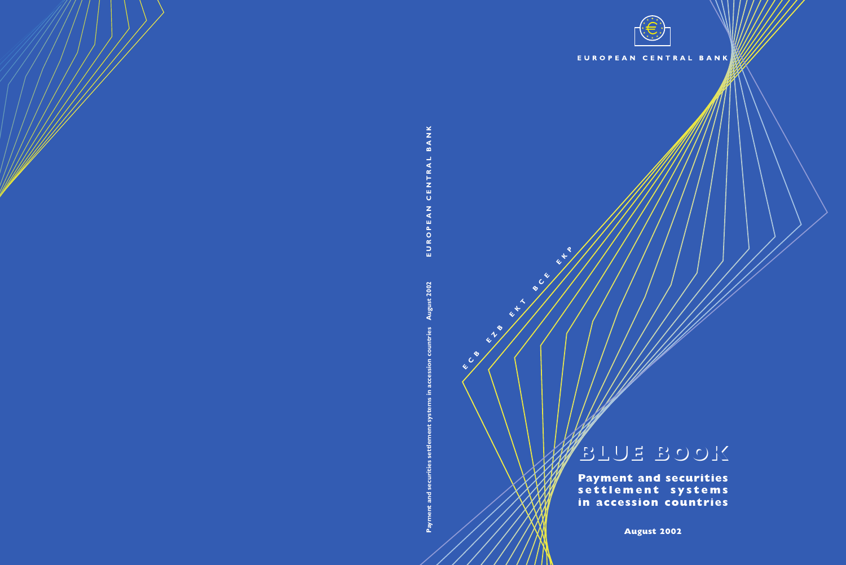

#### CENTRAL BANK EUROPEAN

# **BLUE BOOK BLUE BOOK**

**Payment and securities** settlement **in accession countries**

**August 2002**

**E C**

**B E**

**Z**

**B E**

**8**<br> **A** /

**C E**  **E K P**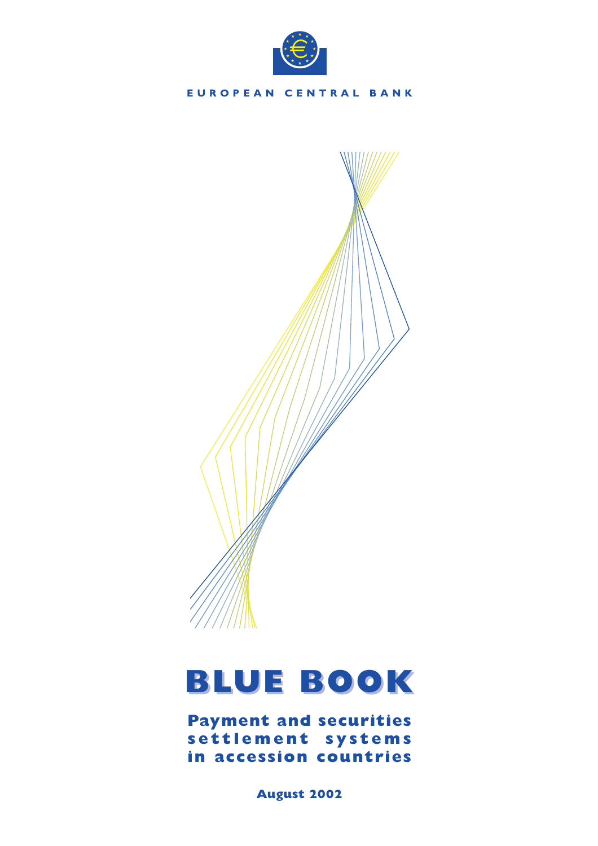



# **BLUE BOOK BLUE BOOK**

**Payment and securities settlement systems in accession countries**

**August 2002**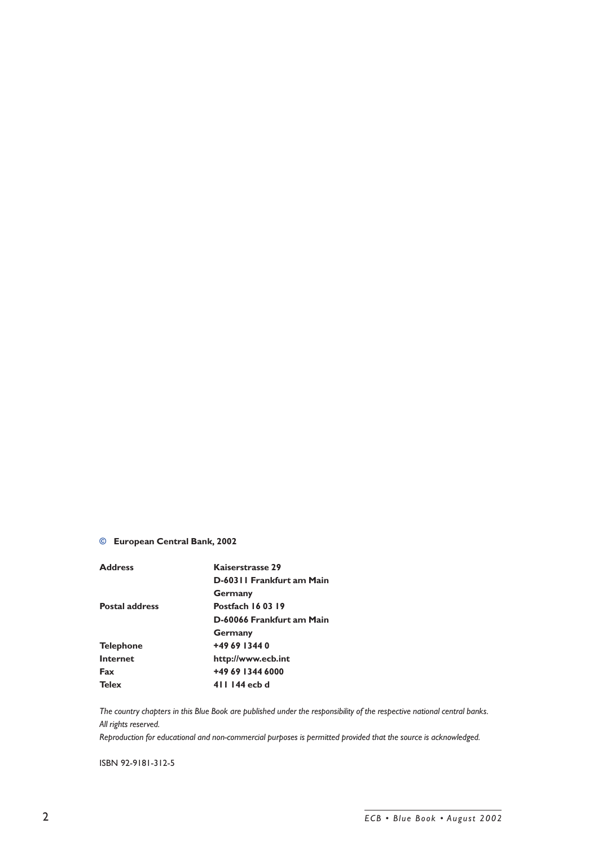# **© European Central Bank, 2002**

| <b>Address</b>        | Kaiserstrasse 29          |
|-----------------------|---------------------------|
|                       | D-60311 Frankfurt am Main |
|                       | Germany                   |
| <b>Postal address</b> | <b>Postfach 160319</b>    |
|                       | D-60066 Frankfurt am Main |
|                       | <b>Germany</b>            |
| <b>Telephone</b>      | +49 69 1344 0             |
| Internet              | http://www.ecb.int        |
| Fax                   | +49 69 1344 6000          |
| <b>Telex</b>          | 411 144 ech d             |

*The country chapters in this Blue Book are published under the responsibility of the respective national central banks. All rights reserved.*

*Reproduction for educational and non-commercial purposes is permitted provided that the source is acknowledged.*

ISBN 92-9181-312-5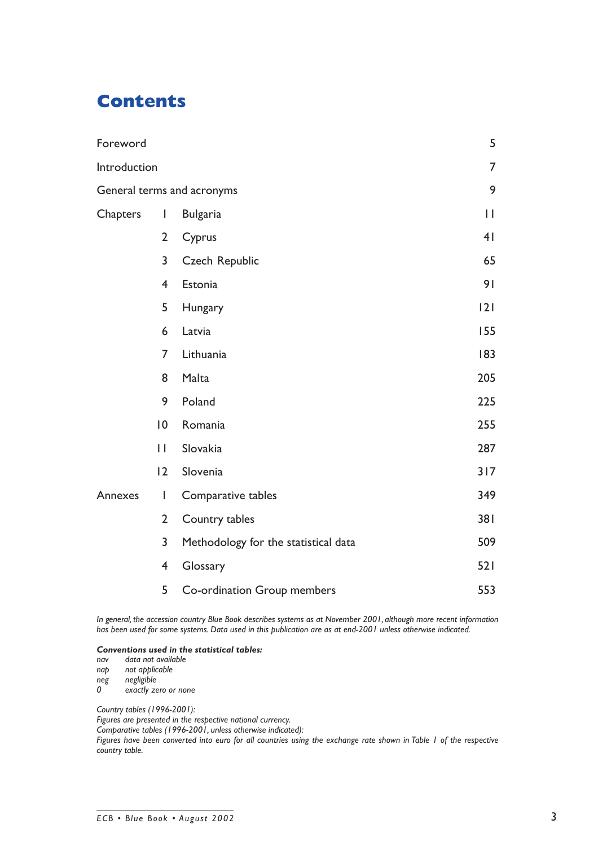# **Contents**

| Foreword        |                          |                                      | 5              |
|-----------------|--------------------------|--------------------------------------|----------------|
| Introduction    |                          |                                      | $\overline{7}$ |
|                 |                          | General terms and acronyms           | 9              |
| <b>Chapters</b> | $\overline{\phantom{a}}$ | <b>Bulgaria</b>                      | $\mathbf{H}$   |
|                 | $\overline{2}$           | Cyprus                               | 4 <sub>1</sub> |
|                 | 3                        | Czech Republic                       | 65             |
|                 | $\overline{4}$           | Estonia                              | 91             |
|                 | 5                        | Hungary                              | 2              |
|                 | 6                        | Latvia                               | 155            |
|                 | 7                        | Lithuania                            | 183            |
|                 | 8                        | Malta                                | 205            |
|                 | 9                        | Poland                               | 225            |
|                 | 0                        | Romania                              | 255            |
|                 | $\mathbf{I}$             | Slovakia                             | 287            |
|                 | 2                        | Slovenia                             | 317            |
| Annexes         | I                        | Comparative tables                   | 349            |
|                 | $\overline{2}$           | Country tables                       | 381            |
|                 | 3                        | Methodology for the statistical data | 509            |
|                 | 4                        | Glossary                             | 521            |
|                 | 5                        | Co-ordination Group members          | 553            |

*In general, the accession country Blue Book describes systems as at November 2001, although more recent information has been used for some systems. Data used in this publication are as at end-2001 unless otherwise indicated.*

### *Conventions used in the statistical tables:*

*nav data not available*

*nap not applicable*

*neg negligible*

*0 exactly zero or none*

*Country tables (1996-2001):*

*Figures are presented in the respective national currency.*

*Comparative tables (1996-2001, unless otherwise indicated):*

*Figures have been converted into euro for all countries using the exchange rate shown in Table 1 of the respective country table.*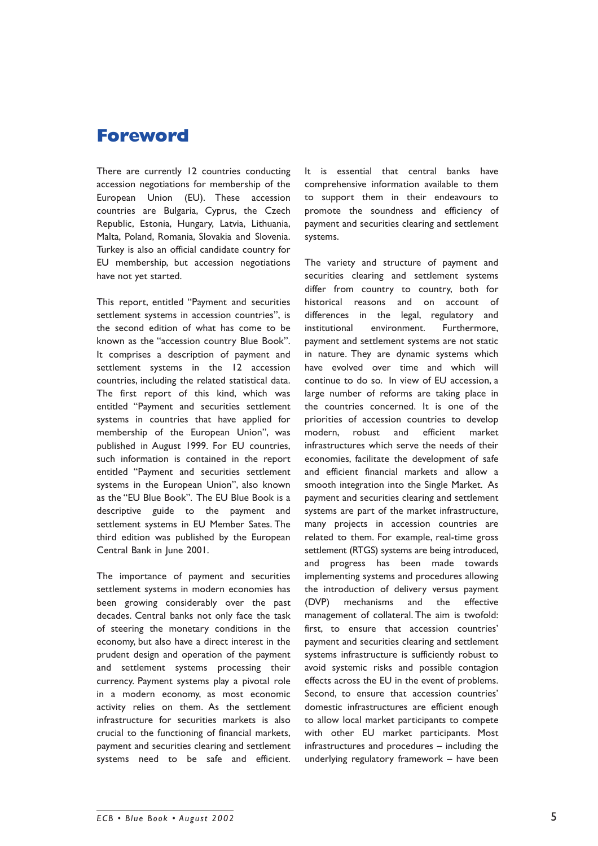# **Foreword**

There are currently 12 countries conducting accession negotiations for membership of the European Union (EU). These accession countries are Bulgaria, Cyprus, the Czech Republic, Estonia, Hungary, Latvia, Lithuania, Malta, Poland, Romania, Slovakia and Slovenia. Turkey is also an official candidate country for EU membership, but accession negotiations have not yet started.

This report, entitled "Payment and securities settlement systems in accession countries", is the second edition of what has come to be known as the "accession country Blue Book". It comprises a description of payment and settlement systems in the 12 accession countries, including the related statistical data. The first report of this kind, which was entitled "Payment and securities settlement systems in countries that have applied for membership of the European Union", was published in August 1999. For EU countries, such information is contained in the report entitled "Payment and securities settlement systems in the European Union", also known as the "EU Blue Book". The EU Blue Book is a descriptive guide to the payment and settlement systems in EU Member Sates. The third edition was published by the European Central Bank in June 2001.

The importance of payment and securities settlement systems in modern economies has been growing considerably over the past decades. Central banks not only face the task of steering the monetary conditions in the economy, but also have a direct interest in the prudent design and operation of the payment and settlement systems processing their currency. Payment systems play a pivotal role in a modern economy, as most economic activity relies on them. As the settlement infrastructure for securities markets is also crucial to the functioning of financial markets, payment and securities clearing and settlement systems need to be safe and efficient.

It is essential that central banks have comprehensive information available to them to support them in their endeavours to promote the soundness and efficiency of payment and securities clearing and settlement systems.

The variety and structure of payment and securities clearing and settlement systems differ from country to country, both for historical reasons and on account of differences in the legal, regulatory and institutional environment. Furthermore, payment and settlement systems are not static in nature. They are dynamic systems which have evolved over time and which will continue to do so. In view of EU accession, a large number of reforms are taking place in the countries concerned. It is one of the priorities of accession countries to develop modern, robust and efficient market infrastructures which serve the needs of their economies, facilitate the development of safe and efficient financial markets and allow a smooth integration into the Single Market. As payment and securities clearing and settlement systems are part of the market infrastructure, many projects in accession countries are related to them. For example, real-time gross settlement (RTGS) systems are being introduced, and progress has been made towards implementing systems and procedures allowing the introduction of delivery versus payment (DVP) mechanisms and the effective management of collateral. The aim is twofold: first, to ensure that accession countries' payment and securities clearing and settlement systems infrastructure is sufficiently robust to avoid systemic risks and possible contagion effects across the EU in the event of problems. Second, to ensure that accession countries' domestic infrastructures are efficient enough to allow local market participants to compete with other EU market participants. Most infrastructures and procedures  $-$  including the underlying regulatory framework  $-$  have been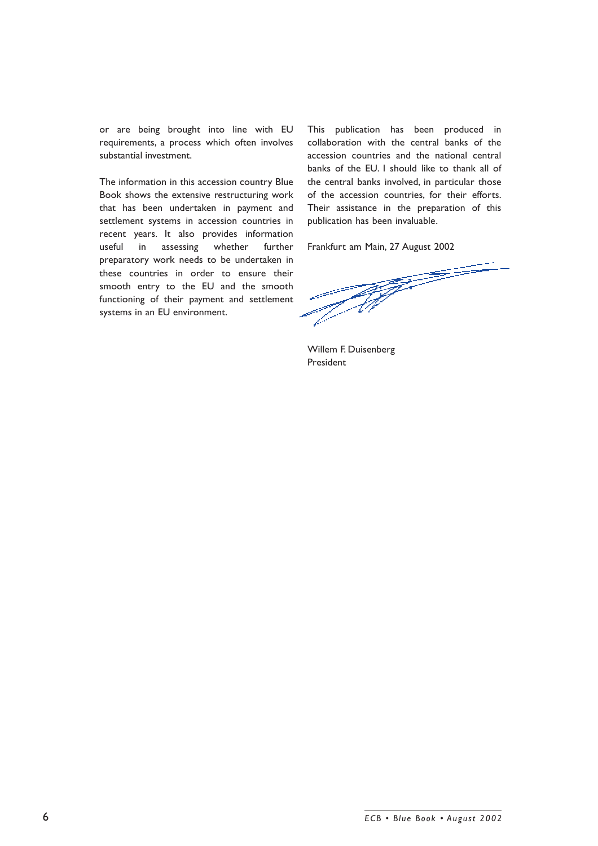or are being brought into line with EU requirements, a process which often involves substantial investment.

The information in this accession country Blue Book shows the extensive restructuring work that has been undertaken in payment and settlement systems in accession countries in recent years. It also provides information useful in assessing whether further preparatory work needs to be undertaken in these countries in order to ensure their smooth entry to the EU and the smooth functioning of their payment and settlement systems in an EU environment.

This publication has been produced in collaboration with the central banks of the accession countries and the national central banks of the EU. I should like to thank all of the central banks involved, in particular those of the accession countries, for their efforts. Their assistance in the preparation of this publication has been invaluable.

Frankfurt am Main, 27 August 2002<br>  $\frac{1}{2}$ <br>  $\frac{1}{2}$ <br>  $\frac{1}{2}$ <br>  $\frac{1}{2}$ <br>  $\frac{1}{2}$ <br>  $\frac{1}{2}$ <br>  $\frac{1}{2}$ <br>  $\frac{1}{2}$ <br>  $\frac{1}{2}$ <br>  $\frac{1}{2}$ <br>  $\frac{1}{2}$ <br>  $\frac{1}{2}$ <br>  $\frac{1}{2}$ <br>  $\frac{1}{2}$ <br>  $\frac{1}{2}$ <br>  $\frac{1}{2}$ <br>  $\frac{1}{2}$ <br>

Willem F. Duisenberg President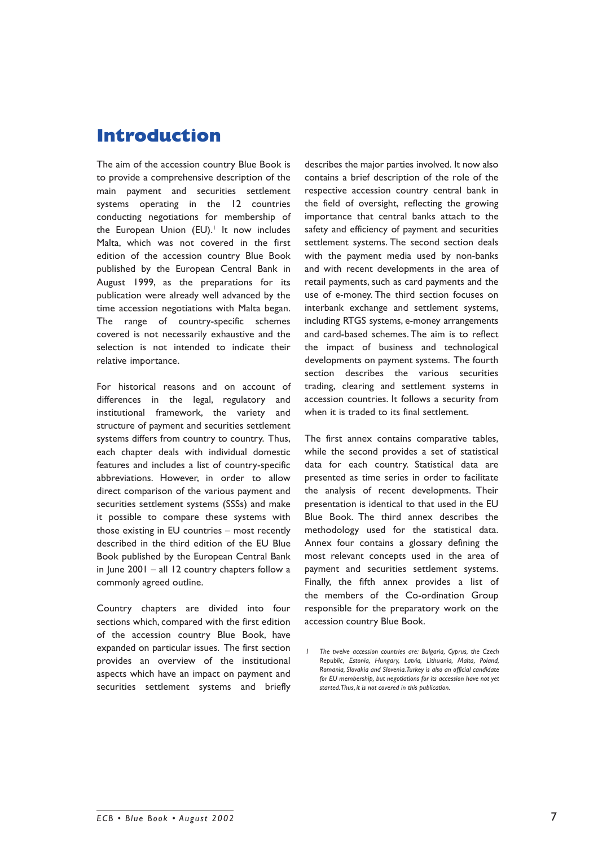# **Introduction**

The aim of the accession country Blue Book is to provide a comprehensive description of the main payment and securities settlement systems operating in the 12 countries conducting negotiations for membership of the European Union (EU).<sup>1</sup> It now includes Malta, which was not covered in the first edition of the accession country Blue Book published by the European Central Bank in August 1999, as the preparations for its publication were already well advanced by the time accession negotiations with Malta began. The range of country-specific schemes covered is not necessarily exhaustive and the selection is not intended to indicate their relative importance.

For historical reasons and on account of differences in the legal, regulatory and institutional framework, the variety and structure of payment and securities settlement systems differs from country to country. Thus, each chapter deals with individual domestic features and includes a list of country-specific abbreviations. However, in order to allow direct comparison of the various payment and securities settlement systems (SSSs) and make it possible to compare these systems with those existing in  $EU$  countries  $-$  most recently described in the third edition of the EU Blue Book published by the European Central Bank in lune  $2001 -$  all 12 country chapters follow a commonly agreed outline.

Country chapters are divided into four sections which, compared with the first edition of the accession country Blue Book, have expanded on particular issues. The first section provides an overview of the institutional aspects which have an impact on payment and securities settlement systems and briefly describes the major parties involved. It now also contains a brief description of the role of the respective accession country central bank in the field of oversight, reflecting the growing importance that central banks attach to the safety and efficiency of payment and securities settlement systems. The second section deals with the payment media used by non-banks and with recent developments in the area of retail payments, such as card payments and the use of e-money. The third section focuses on interbank exchange and settlement systems, including RTGS systems, e-money arrangements and card-based schemes. The aim is to reflect the impact of business and technological developments on payment systems. The fourth section describes the various securities trading, clearing and settlement systems in accession countries. It follows a security from when it is traded to its final settlement.

The first annex contains comparative tables, while the second provides a set of statistical data for each country. Statistical data are presented as time series in order to facilitate the analysis of recent developments. Their presentation is identical to that used in the EU Blue Book. The third annex describes the methodology used for the statistical data. Annex four contains a glossary defining the most relevant concepts used in the area of payment and securities settlement systems. Finally, the fifth annex provides a list of the members of the Co-ordination Group responsible for the preparatory work on the accession country Blue Book.

*<sup>1</sup> The twelve accession countries are: Bulgaria, Cyprus, the Czech Republic, Estonia, Hungary, Latvia, Lithuania, Malta, Poland, Romania, Slovakia and Slovenia. Turkey is also an official candidate for EU membership, but negotiations for its accession have not yet started. Thus, it is not covered in this publication.*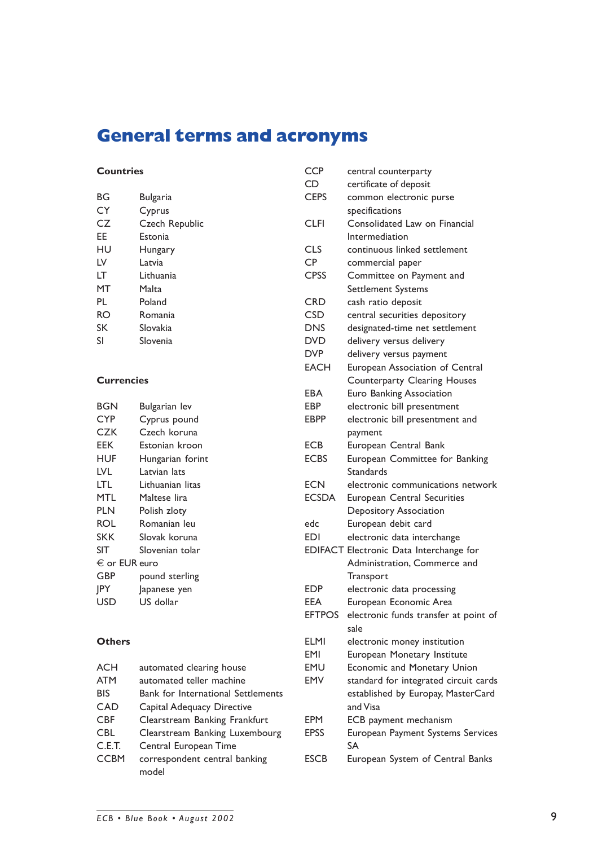# **General terms and acronyms**

# **Countries**

| BG | Bulgaria       |
|----|----------------|
| CY | Cyprus         |
| CZ | Czech Republic |
| ЕE | Estonia        |
| HU | Hungary        |
| LV | Latvia         |
| LT | Lithuania      |
| МT | Malta          |
| PL | Poland         |
| RO | Romania        |
| SK | Slovakia       |
| SI | Slovenia       |

# **Currencies**

| BGN               | Bulgarian lev    |
|-------------------|------------------|
| <b>CYP</b>        | Cyprus pound     |
| <b>CZK</b>        | Czech koruna     |
| EEK               | Estonian kroon   |
| HUF               | Hungarian forint |
| LVL               | Latvian lats     |
| LTL               | Lithuanian litas |
| MTL               | Maltese Iira     |
| PLN               | Polish zloty     |
| ROL               | Romanian leu     |
| <b>SKK</b>        | Slovak koruna    |
| SIT               | Slovenian tolar  |
| $\in$ or EUR euro |                  |
| GBP               | pound sterling   |
| <b>IPY</b>        | Japanese yen     |
| USD               | US dollar        |

# **Others**

| <b>ACH</b>  | automated clearing house           |
|-------------|------------------------------------|
| <b>ATM</b>  | automated teller machine           |
| BIS         | Bank for International Settlements |
| CAD         | Capital Adequacy Directive         |
| <b>CBF</b>  | Clearstream Banking Frankfurt      |
| <b>CBL</b>  | Clearstream Banking Luxembourg     |
| C.E.T.      | Central European Time              |
| <b>CCBM</b> | correspondent central banking      |
|             | model                              |
|             |                                    |

| <b>CCP</b>    | central counterparty                           |
|---------------|------------------------------------------------|
| CD            | certificate of deposit                         |
| <b>CEPS</b>   | common electronic purse                        |
|               | specifications                                 |
| <b>CLFI</b>   | Consolidated Law on Financial                  |
|               | Intermediation                                 |
| <b>CLS</b>    | continuous linked settlement                   |
| <b>CP</b>     | commercial paper                               |
| <b>CPSS</b>   | Committee on Payment and                       |
|               | Settlement Systems                             |
| <b>CRD</b>    | cash ratio deposit                             |
| <b>CSD</b>    | central securities depository                  |
| <b>DNS</b>    | designated-time net settlement                 |
| <b>DVD</b>    | delivery versus delivery                       |
| <b>DVP</b>    | delivery versus payment                        |
| <b>EACH</b>   | European Association of Central                |
|               | Counterparty Clearing Houses                   |
| EBA           | Euro Banking Association                       |
| EBP           | electronic bill presentment                    |
| <b>EBPP</b>   | electronic bill presentment and                |
|               | payment                                        |
| <b>ECB</b>    | European Central Bank                          |
| <b>ECBS</b>   | European Committee for Banking                 |
|               | Standards                                      |
| <b>ECN</b>    | electronic communications network              |
| <b>ECSDA</b>  | <b>European Central Securities</b>             |
|               | Depository Association                         |
| edc           | European debit card                            |
| <b>EDI</b>    | electronic data interchange                    |
|               | EDIFACT Electronic Data Interchange for        |
|               | Administration, Commerce and                   |
|               | Transport                                      |
| <b>EDP</b>    | electronic data processing                     |
| EEA           | European Economic Area                         |
| <b>EFTPOS</b> |                                                |
|               | electronic funds transfer at point of<br>sale  |
| <b>ELMI</b>   |                                                |
| <b>EMI</b>    | electronic money institution                   |
| <b>EMU</b>    | European Monetary Institute                    |
|               | Economic and Monetary Union                    |
| <b>EMV</b>    | standard for integrated circuit cards          |
|               | established by Europay, MasterCard             |
|               | and Visa                                       |
| <b>EPM</b>    | ECB payment mechanism                          |
| <b>EPSS</b>   | European Payment Systems Services<br><b>SA</b> |
| <b>ESCB</b>   | European System of Central Banks               |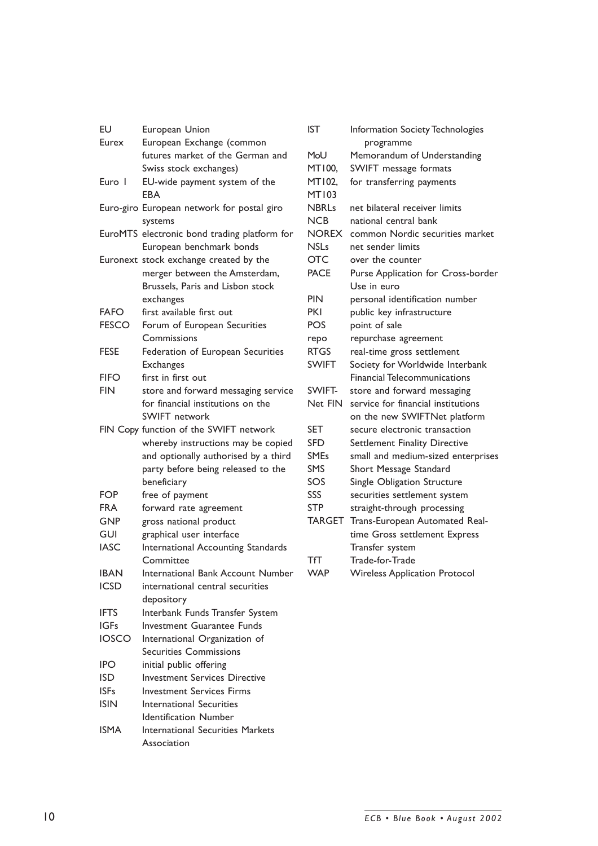| EU                          | European Union                                                           |  |  |
|-----------------------------|--------------------------------------------------------------------------|--|--|
| Eurex                       | European Exchange (common                                                |  |  |
|                             | futures market of the German and                                         |  |  |
|                             | Swiss stock exchanges)                                                   |  |  |
| Euro I                      | EU-wide payment system of the<br>EBA                                     |  |  |
|                             | Euro-giro European network for postal giro<br>systems                    |  |  |
|                             | EuroMTS electronic bond trading platform for<br>European benchmark bonds |  |  |
|                             | Euronext stock exchange created by the                                   |  |  |
|                             | merger between the Amsterdam,                                            |  |  |
|                             | Brussels, Paris and Lisbon stock                                         |  |  |
|                             | exchanges                                                                |  |  |
| <b>FAFO</b>                 | first available first out                                                |  |  |
| <b>FESCO</b>                | Forum of European Securities                                             |  |  |
|                             | Commissions                                                              |  |  |
| <b>FESE</b>                 | Federation of European Securities                                        |  |  |
|                             | <b>Exchanges</b>                                                         |  |  |
| <b>FIFO</b>                 | first in first out                                                       |  |  |
| <b>FIN</b>                  | store and forward messaging service                                      |  |  |
|                             | for financial institutions on the                                        |  |  |
|                             | <b>SWIFT</b> network                                                     |  |  |
|                             | FIN Copy function of the SWIFT network                                   |  |  |
|                             | whereby instructions may be copied                                       |  |  |
|                             | and optionally authorised by a third                                     |  |  |
|                             | party before being released to the                                       |  |  |
|                             | beneficiary                                                              |  |  |
| <b>FOP</b>                  | free of payment                                                          |  |  |
| <b>FRA</b>                  | forward rate agreement                                                   |  |  |
| <b>GNP</b>                  | gross national product                                                   |  |  |
| <b>GUI</b>                  | graphical user interface                                                 |  |  |
| <b>IASC</b>                 | International Accounting Standards                                       |  |  |
|                             | Committee                                                                |  |  |
| <b>IBAN</b>                 | International Bank Account Number                                        |  |  |
| <b>ICSD</b>                 | international central securities                                         |  |  |
|                             | depository                                                               |  |  |
| <b>IFTS</b>                 | Interbank Funds Transfer System                                          |  |  |
| <b>IGFs</b><br><b>IOSCO</b> | <b>Investment Guarantee Funds</b>                                        |  |  |
|                             | International Organization of<br><b>Securities Commissions</b>           |  |  |
| <b>IPO</b>                  | initial public offering                                                  |  |  |
| <b>ISD</b>                  | <b>Investment Services Directive</b>                                     |  |  |
| <b>ISFs</b>                 | <b>Investment Services Firms</b>                                         |  |  |
| <b>ISIN</b>                 | <b>International Securities</b>                                          |  |  |
|                             | <b>Identification Number</b>                                             |  |  |
| <b>ISMA</b>                 | <b>International Securities Markets</b>                                  |  |  |
|                             | Association                                                              |  |  |
|                             |                                                                          |  |  |

| <b>IST</b>                      | Information Society Technologies     |  |
|---------------------------------|--------------------------------------|--|
|                                 | programme                            |  |
| MoU                             | Memorandum of Understanding          |  |
| MT100,<br>SWIFT message formats |                                      |  |
| MT102,                          | for transferring payments            |  |
| <b>MT103</b>                    |                                      |  |
| <b>NBRLs</b>                    | net bilateral receiver limits        |  |
| <b>NCB</b>                      | national central bank                |  |
| <b>NOREX</b>                    | common Nordic securities market      |  |
| <b>NSLs</b>                     | net sender limits                    |  |
| <b>OTC</b>                      | over the counter                     |  |
| <b>PACE</b>                     | Purse Application for Cross-border   |  |
|                                 | Use in euro                          |  |
| <b>PIN</b>                      | personal identification number       |  |
| <b>PKI</b>                      | public key infrastructure            |  |
| <b>POS</b>                      | point of sale                        |  |
| repo                            | repurchase agreement                 |  |
| <b>RTGS</b>                     | real-time gross settlement           |  |
| <b>SWIFT</b>                    | Society for Worldwide Interbank      |  |
|                                 | <b>Financial Telecommunications</b>  |  |
| SWIFT-                          | store and forward messaging          |  |
| Net FIN                         | service for financial institutions   |  |
|                                 | on the new SWIFTNet platform         |  |
| <b>SET</b>                      | secure electronic transaction        |  |
| <b>SFD</b>                      | Settlement Finality Directive        |  |
| <b>SMEs</b>                     | small and medium-sized enterprises   |  |
| <b>SMS</b>                      | Short Message Standard               |  |
| SOS                             | Single Obligation Structure          |  |
| SSS                             | securities settlement system         |  |
| <b>STP</b>                      | straight-through processing          |  |
| <b>TARGET</b>                   | Trans-European Automated Real-       |  |
|                                 | time Gross settlement Express        |  |
|                                 | Transfer system                      |  |
| ТſТ                             | Trade-for-Trade                      |  |
| <b>WAP</b>                      | <b>Wireless Application Protocol</b> |  |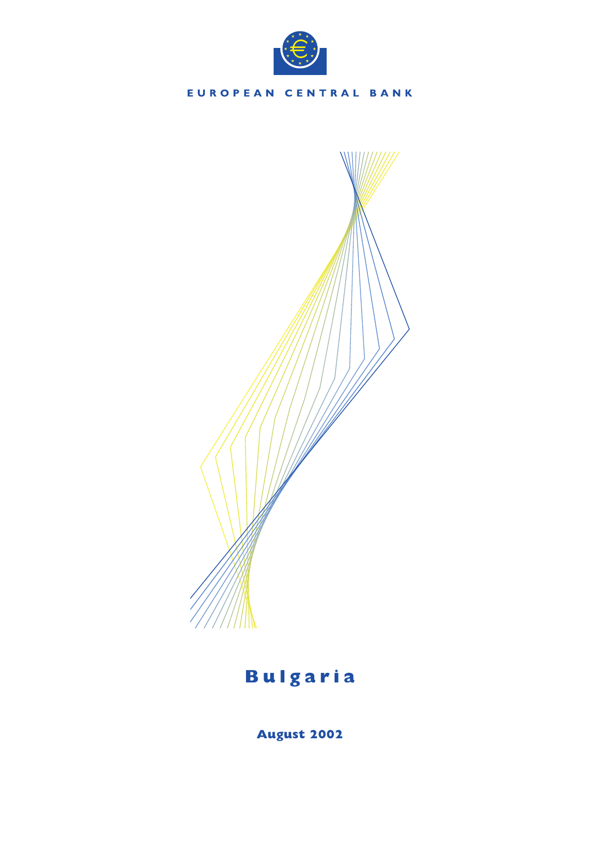



**August 2002**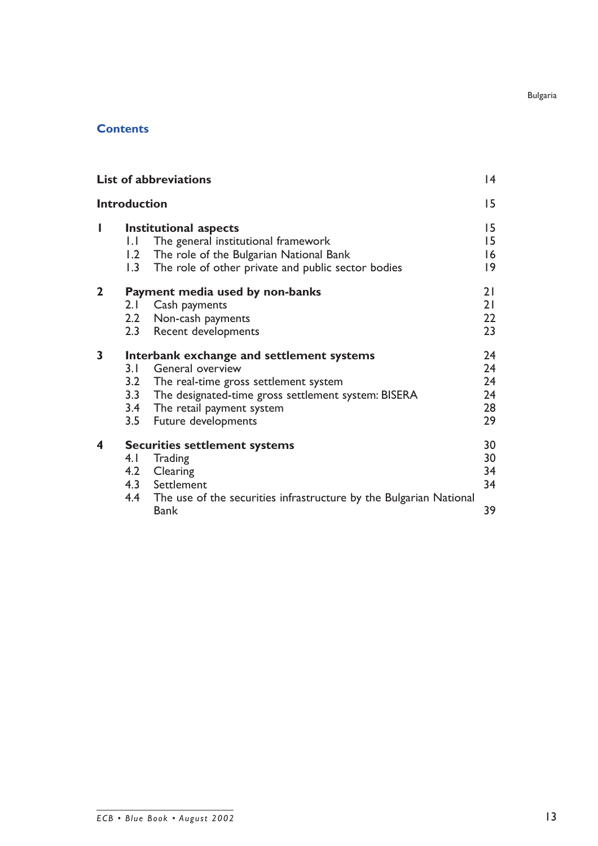# **Contents**

|             |                     | <b>List of abbreviations</b>                                                                                                                                                                                                      | 4                                |
|-------------|---------------------|-----------------------------------------------------------------------------------------------------------------------------------------------------------------------------------------------------------------------------------|----------------------------------|
|             | <b>Introduction</b> |                                                                                                                                                                                                                                   | 15                               |
| I           | 1.1<br>1.2<br>1.3   | Institutional aspects<br>The general institutional framework<br>The role of the Bulgarian National Bank<br>The role of other private and public sector bodies                                                                     | 15<br>15<br> 6<br> 9             |
| $\mathbf 2$ | 2.1                 | Payment media used by non-banks<br>Cash payments<br>2.2 Non-cash payments<br>2.3 Recent developments                                                                                                                              | 21<br>21<br>22<br>23             |
| 3           | 3. I                | Interbank exchange and settlement systems<br>General overview<br>3.2 The real-time gross settlement system<br>3.3 The designated-time gross settlement system: BISERA<br>3.4 The retail payment system<br>3.5 Future developments | 24<br>24<br>24<br>24<br>28<br>29 |
| 4           | 4. I                | <b>Securities settlement systems</b><br><b>Trading</b><br>4.2 Clearing<br>4.3 Settlement<br>4.4 The use of the securities infrastructure by the Bulgarian National<br>Bank                                                        | 30<br>30<br>34<br>34<br>39       |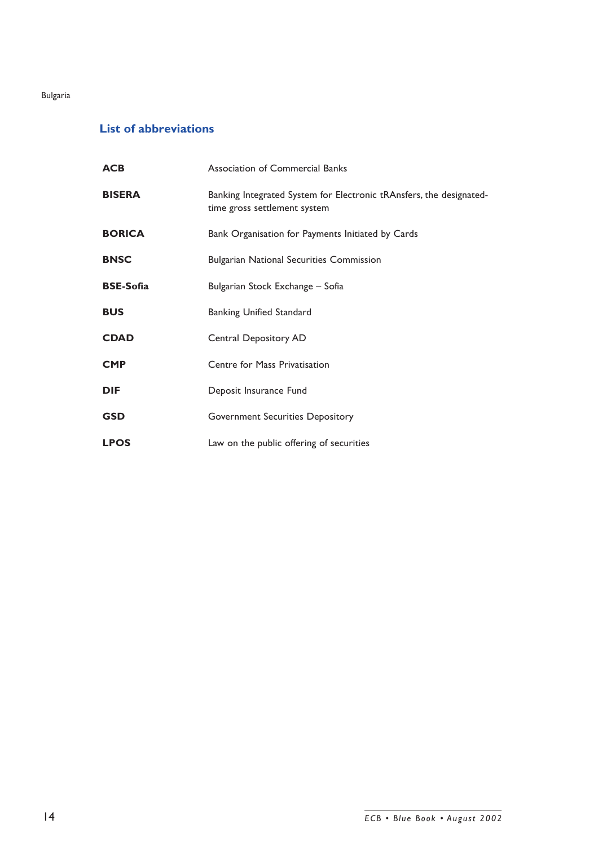# **List of abbreviations**

| <b>ACB</b>       | <b>Association of Commercial Banks</b>                                                              |  |
|------------------|-----------------------------------------------------------------------------------------------------|--|
| <b>BISERA</b>    | Banking Integrated System for Electronic tRAnsfers, the designated-<br>time gross settlement system |  |
| <b>BORICA</b>    | Bank Organisation for Payments Initiated by Cards                                                   |  |
| <b>BNSC</b>      | <b>Bulgarian National Securities Commission</b>                                                     |  |
| <b>BSE-Sofia</b> | Bulgarian Stock Exchange - Sofia                                                                    |  |
| <b>BUS</b>       | <b>Banking Unified Standard</b>                                                                     |  |
| <b>CDAD</b>      | Central Depository AD                                                                               |  |
| <b>CMP</b>       | Centre for Mass Privatisation                                                                       |  |
| <b>DIF</b>       | Deposit Insurance Fund                                                                              |  |
| <b>GSD</b>       | <b>Government Securities Depository</b>                                                             |  |
| <b>LPOS</b>      | Law on the public offering of securities                                                            |  |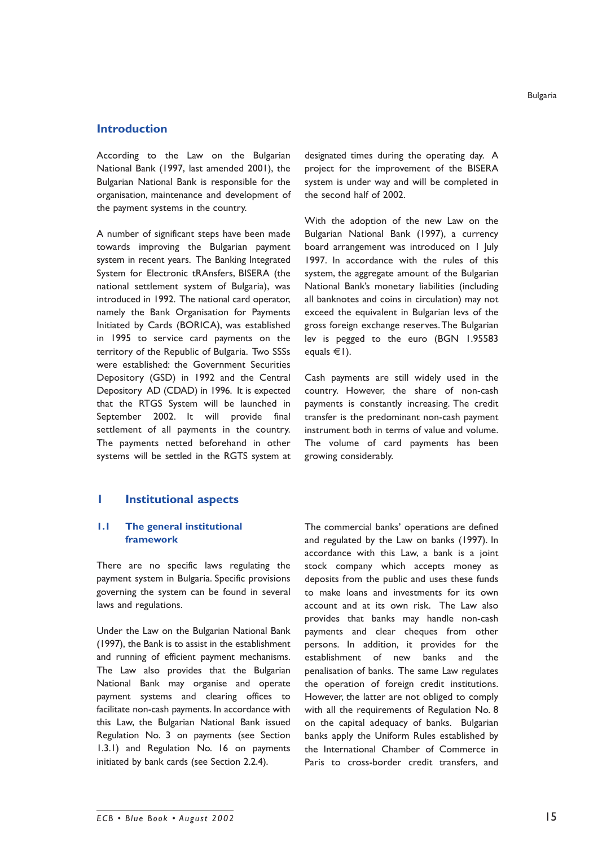# **Introduction**

According to the Law on the Bulgarian National Bank (1997, last amended 2001), the Bulgarian National Bank is responsible for the organisation, maintenance and development of the payment systems in the country.

A number of significant steps have been made towards improving the Bulgarian payment system in recent years. The Banking Integrated System for Electronic tRAnsfers, BISERA (the national settlement system of Bulgaria), was introduced in 1992. The national card operator, namely the Bank Organisation for Payments Initiated by Cards (BORICA), was established in 1995 to service card payments on the territory of the Republic of Bulgaria. Two SSSs were established: the Government Securities Depository (GSD) in 1992 and the Central Depository AD (CDAD) in 1996. It is expected that the RTGS System will be launched in September 2002. It will provide final settlement of all payments in the country. The payments netted beforehand in other systems will be settled in the RGTS system at

# **1 Institutional aspects**

### **1.1 The general institutional framework**

There are no specific laws regulating the payment system in Bulgaria. Specific provisions governing the system can be found in several laws and regulations.

Under the Law on the Bulgarian National Bank (1997), the Bank is to assist in the establishment and running of efficient payment mechanisms. The Law also provides that the Bulgarian National Bank may organise and operate payment systems and clearing offices to facilitate non-cash payments. In accordance with this Law, the Bulgarian National Bank issued Regulation No. 3 on payments (see Section 1.3.1) and Regulation No. 16 on payments initiated by bank cards (see Section 2.2.4).

designated times during the operating day. A project for the improvement of the BISERA system is under way and will be completed in the second half of 2002.

With the adoption of the new Law on the Bulgarian National Bank (1997), a currency board arrangement was introduced on 1 July 1997. In accordance with the rules of this system, the aggregate amount of the Bulgarian National Bankís monetary liabilities (including all banknotes and coins in circulation) may not exceed the equivalent in Bulgarian levs of the gross foreign exchange reserves. The Bulgarian lev is pegged to the euro (BGN 1.95583 equals  $\in$ 1).

Cash payments are still widely used in the country. However, the share of non-cash payments is constantly increasing. The credit transfer is the predominant non-cash payment instrument both in terms of value and volume. The volume of card payments has been growing considerably.

The commercial banks' operations are defined and regulated by the Law on banks (1997). In accordance with this Law, a bank is a joint stock company which accepts money as deposits from the public and uses these funds to make loans and investments for its own account and at its own risk. The Law also provides that banks may handle non-cash payments and clear cheques from other persons. In addition, it provides for the establishment of new banks and the penalisation of banks. The same Law regulates the operation of foreign credit institutions. However, the latter are not obliged to comply with all the requirements of Regulation No. 8 on the capital adequacy of banks. Bulgarian banks apply the Uniform Rules established by the International Chamber of Commerce in Paris to cross-border credit transfers, and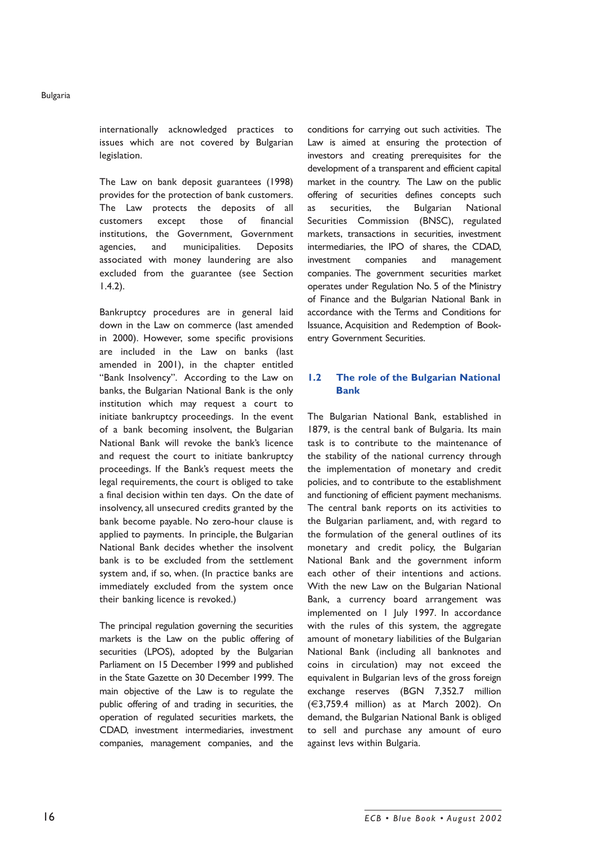internationally acknowledged practices to issues which are not covered by Bulgarian legislation.

The Law on bank deposit guarantees (1998) provides for the protection of bank customers. The Law protects the deposits of all customers except those of financial institutions, the Government, Government agencies, and municipalities. Deposits associated with money laundering are also excluded from the guarantee (see Section 1.4.2).

Bankruptcy procedures are in general laid down in the Law on commerce (last amended in 2000). However, some specific provisions are included in the Law on banks (last amended in 2001), in the chapter entitled "Bank Insolvency". According to the Law on banks, the Bulgarian National Bank is the only institution which may request a court to initiate bankruptcy proceedings. In the event of a bank becoming insolvent, the Bulgarian National Bank will revoke the bank's licence and request the court to initiate bankruptcy proceedings. If the Bankís request meets the legal requirements, the court is obliged to take a final decision within ten days. On the date of insolvency, all unsecured credits granted by the bank become payable. No zero-hour clause is applied to payments. In principle, the Bulgarian National Bank decides whether the insolvent bank is to be excluded from the settlement system and, if so, when. (In practice banks are immediately excluded from the system once their banking licence is revoked.)

The principal regulation governing the securities markets is the Law on the public offering of securities (LPOS), adopted by the Bulgarian Parliament on 15 December 1999 and published in the State Gazette on 30 December 1999. The main objective of the Law is to regulate the public offering of and trading in securities, the operation of regulated securities markets, the CDAD, investment intermediaries, investment companies, management companies, and the conditions for carrying out such activities. The Law is aimed at ensuring the protection of investors and creating prerequisites for the development of a transparent and efficient capital market in the country. The Law on the public offering of securities defines concepts such as securities, the Bulgarian National Securities Commission (BNSC), regulated markets, transactions in securities, investment intermediaries, the IPO of shares, the CDAD, investment companies and management companies. The government securities market operates under Regulation No. 5 of the Ministry of Finance and the Bulgarian National Bank in accordance with the Terms and Conditions for Issuance, Acquisition and Redemption of Bookentry Government Securities.

# **1.2 The role of the Bulgarian National Bank**

The Bulgarian National Bank, established in 1879, is the central bank of Bulgaria. Its main task is to contribute to the maintenance of the stability of the national currency through the implementation of monetary and credit policies, and to contribute to the establishment and functioning of efficient payment mechanisms. The central bank reports on its activities to the Bulgarian parliament, and, with regard to the formulation of the general outlines of its monetary and credit policy, the Bulgarian National Bank and the government inform each other of their intentions and actions. With the new Law on the Bulgarian National Bank, a currency board arrangement was implemented on 1 July 1997. In accordance with the rules of this system, the aggregate amount of monetary liabilities of the Bulgarian National Bank (including all banknotes and coins in circulation) may not exceed the equivalent in Bulgarian levs of the gross foreign exchange reserves (BGN 7,352.7 million (€3,759.4 million) as at March 2002). On demand, the Bulgarian National Bank is obliged to sell and purchase any amount of euro against levs within Bulgaria.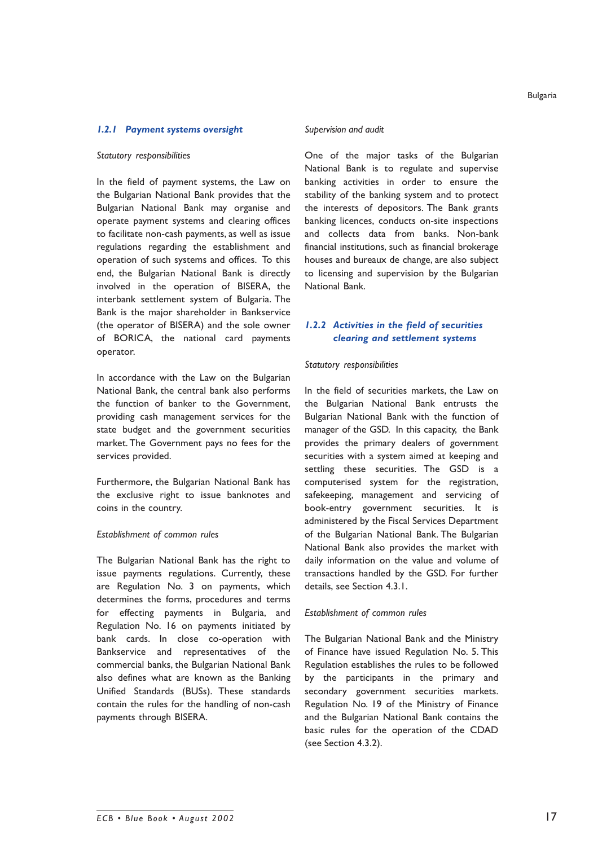#### *1.2.1 Payment systems oversight*

#### *Statutory responsibilities*

In the field of payment systems, the Law on the Bulgarian National Bank provides that the Bulgarian National Bank may organise and operate payment systems and clearing offices to facilitate non-cash payments, as well as issue regulations regarding the establishment and operation of such systems and offices. To this end, the Bulgarian National Bank is directly involved in the operation of BISERA, the interbank settlement system of Bulgaria. The Bank is the major shareholder in Bankservice (the operator of BISERA) and the sole owner of BORICA, the national card payments operator.

In accordance with the Law on the Bulgarian National Bank, the central bank also performs the function of banker to the Government, providing cash management services for the state budget and the government securities market. The Government pays no fees for the services provided.

Furthermore, the Bulgarian National Bank has the exclusive right to issue banknotes and coins in the country.

#### *Establishment of common rules*

The Bulgarian National Bank has the right to issue payments regulations. Currently, these are Regulation No. 3 on payments, which determines the forms, procedures and terms for effecting payments in Bulgaria, and Regulation No. 16 on payments initiated by bank cards. In close co-operation with Bankservice and representatives of the commercial banks, the Bulgarian National Bank also defines what are known as the Banking Unified Standards (BUSs). These standards contain the rules for the handling of non-cash payments through BISERA.

#### *Supervision and audit*

One of the major tasks of the Bulgarian National Bank is to regulate and supervise banking activities in order to ensure the stability of the banking system and to protect the interests of depositors. The Bank grants banking licences, conducts on-site inspections and collects data from banks. Non-bank financial institutions, such as financial brokerage houses and bureaux de change, are also subject to licensing and supervision by the Bulgarian National Bank.

# *1.2.2 Activities in the field of securities clearing and settlement systems*

#### *Statutory responsibilities*

In the field of securities markets, the Law on the Bulgarian National Bank entrusts the Bulgarian National Bank with the function of manager of the GSD. In this capacity, the Bank provides the primary dealers of government securities with a system aimed at keeping and settling these securities. The GSD is a computerised system for the registration, safekeeping, management and servicing of book-entry government securities. It is administered by the Fiscal Services Department of the Bulgarian National Bank. The Bulgarian National Bank also provides the market with daily information on the value and volume of transactions handled by the GSD. For further details, see Section 4.3.1.

#### *Establishment of common rules*

The Bulgarian National Bank and the Ministry of Finance have issued Regulation No. 5. This Regulation establishes the rules to be followed by the participants in the primary and secondary government securities markets. Regulation No. 19 of the Ministry of Finance and the Bulgarian National Bank contains the basic rules for the operation of the CDAD (see Section 4.3.2).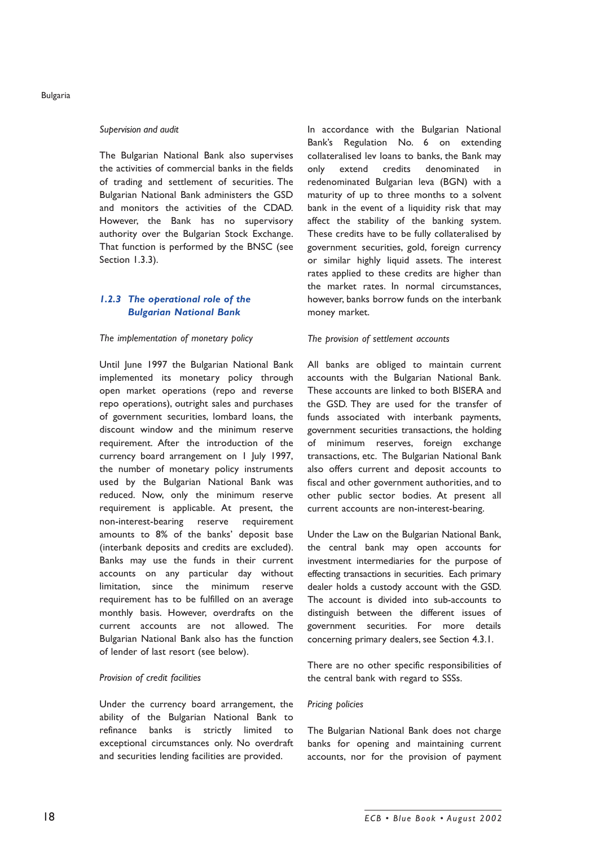#### *Supervision and audit*

The Bulgarian National Bank also supervises the activities of commercial banks in the fields of trading and settlement of securities. The Bulgarian National Bank administers the GSD and monitors the activities of the CDAD. However, the Bank has no supervisory authority over the Bulgarian Stock Exchange. That function is performed by the BNSC (see Section 1.3.3).

# *1.2.3 The operational role of the Bulgarian National Bank*

#### *The implementation of monetary policy*

Until June 1997 the Bulgarian National Bank implemented its monetary policy through open market operations (repo and reverse repo operations), outright sales and purchases of government securities, lombard loans, the discount window and the minimum reserve requirement. After the introduction of the currency board arrangement on 1 July 1997, the number of monetary policy instruments used by the Bulgarian National Bank was reduced. Now, only the minimum reserve requirement is applicable. At present, the non-interest-bearing reserve requirement amounts to 8% of the banks' deposit base (interbank deposits and credits are excluded). Banks may use the funds in their current accounts on any particular day without limitation, since the minimum reserve requirement has to be fulfilled on an average monthly basis. However, overdrafts on the current accounts are not allowed. The Bulgarian National Bank also has the function of lender of last resort (see below).

#### *Provision of credit facilities*

Under the currency board arrangement, the ability of the Bulgarian National Bank to refinance banks is strictly limited to exceptional circumstances only. No overdraft and securities lending facilities are provided.

In accordance with the Bulgarian National Bankís Regulation No. 6 on extending collateralised lev loans to banks, the Bank may only extend credits denominated in redenominated Bulgarian leva (BGN) with a maturity of up to three months to a solvent bank in the event of a liquidity risk that may affect the stability of the banking system. These credits have to be fully collateralised by government securities, gold, foreign currency or similar highly liquid assets. The interest rates applied to these credits are higher than the market rates. In normal circumstances, however, banks borrow funds on the interbank money market.

#### *The provision of settlement accounts*

All banks are obliged to maintain current accounts with the Bulgarian National Bank. These accounts are linked to both BISERA and the GSD. They are used for the transfer of funds associated with interbank payments, government securities transactions, the holding of minimum reserves, foreign exchange transactions, etc. The Bulgarian National Bank also offers current and deposit accounts to fiscal and other government authorities, and to other public sector bodies. At present all current accounts are non-interest-bearing.

Under the Law on the Bulgarian National Bank, the central bank may open accounts for investment intermediaries for the purpose of effecting transactions in securities. Each primary dealer holds a custody account with the GSD. The account is divided into sub-accounts to distinguish between the different issues of government securities. For more details concerning primary dealers, see Section 4.3.1.

There are no other specific responsibilities of the central bank with regard to SSSs.

#### *Pricing policies*

The Bulgarian National Bank does not charge banks for opening and maintaining current accounts, nor for the provision of payment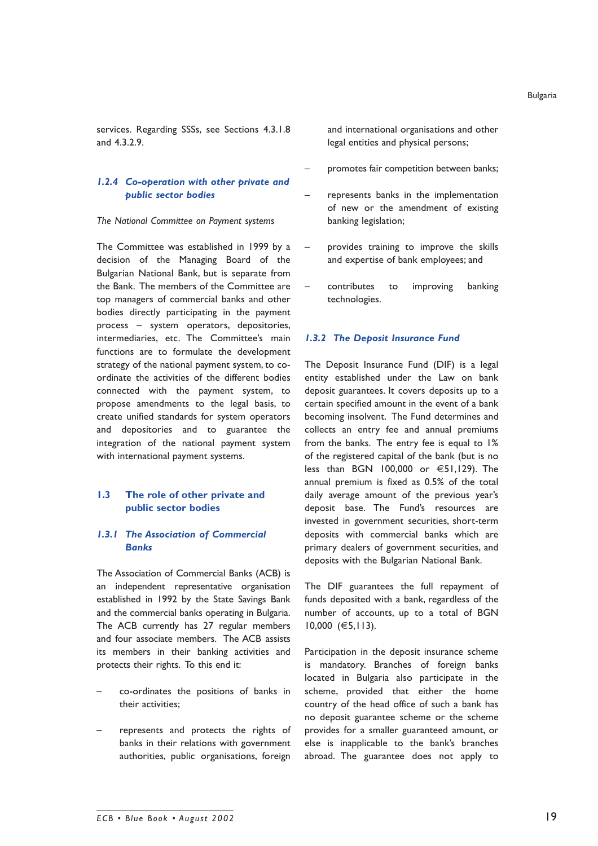services. Regarding SSSs, see Sections 4.3.1.8 and 4.3.2.9.

# *1.2.4 Co-operation with other private and public sector bodies*

#### *The National Committee on Payment systems*

The Committee was established in 1999 by a decision of the Managing Board of the Bulgarian National Bank, but is separate from the Bank. The members of the Committee are top managers of commercial banks and other bodies directly participating in the payment process – system operators, depositories, intermediaries, etc. The Committee's main functions are to formulate the development strategy of the national payment system, to coordinate the activities of the different bodies connected with the payment system, to propose amendments to the legal basis, to create unified standards for system operators and depositories and to guarantee the integration of the national payment system with international payment systems.

# **1.3 The role of other private and public sector bodies**

# *1.3.1 The Association of Commercial Banks*

The Association of Commercial Banks (ACB) is an independent representative organisation established in 1992 by the State Savings Bank and the commercial banks operating in Bulgaria. The ACB currently has 27 regular members and four associate members. The ACB assists its members in their banking activities and protects their rights. To this end it:

- co-ordinates the positions of banks in their activities;
- represents and protects the rights of banks in their relations with government authorities, public organisations, foreign

and international organisations and other legal entities and physical persons;

- promotes fair competition between banks;
- represents banks in the implementation of new or the amendment of existing banking legislation;
- provides training to improve the skills and expertise of bank employees; and
- contributes to improving banking technologies.

#### *1.3.2 The Deposit Insurance Fund*

The Deposit Insurance Fund (DIF) is a legal entity established under the Law on bank deposit guarantees. It covers deposits up to a certain specified amount in the event of a bank becoming insolvent. The Fund determines and collects an entry fee and annual premiums from the banks. The entry fee is equal to 1% of the registered capital of the bank (but is no less than BGN 100,000 or €51,129). The annual premium is fixed as 0.5% of the total daily average amount of the previous year's deposit base. The Fundís resources are invested in government securities, short-term deposits with commercial banks which are primary dealers of government securities, and deposits with the Bulgarian National Bank.

The DIF guarantees the full repayment of funds deposited with a bank, regardless of the number of accounts, up to a total of BGN 10,000 (€5,113).

Participation in the deposit insurance scheme is mandatory. Branches of foreign banks located in Bulgaria also participate in the scheme, provided that either the home country of the head office of such a bank has no deposit guarantee scheme or the scheme provides for a smaller guaranteed amount, or else is inapplicable to the bank's branches abroad. The guarantee does not apply to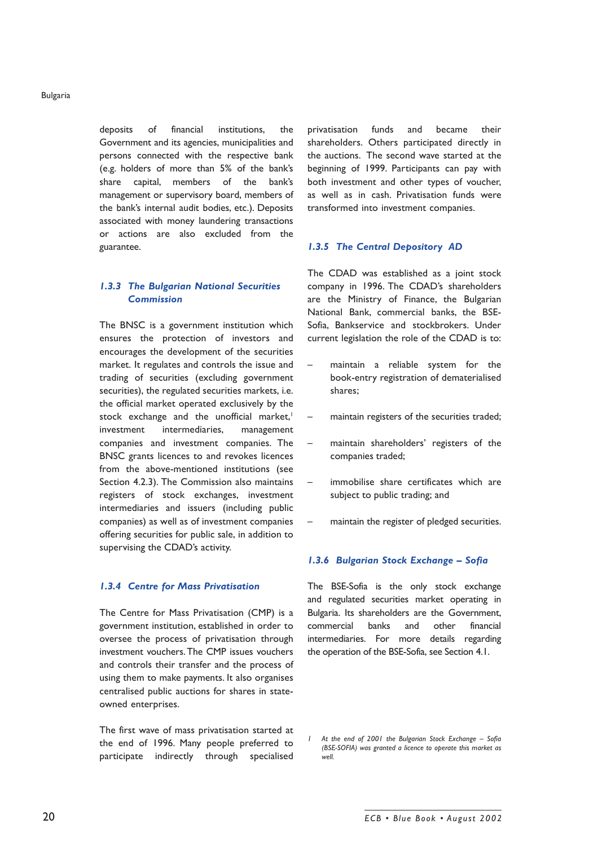deposits of financial institutions, the Government and its agencies, municipalities and persons connected with the respective bank (e.g. holders of more than 5% of the bankís share capital, members of the bank's management or supervisory board, members of the bank's internal audit bodies, etc.). Deposits associated with money laundering transactions or actions are also excluded from the guarantee.

# *1.3.3 The Bulgarian National Securities Commission*

The BNSC is a government institution which ensures the protection of investors and encourages the development of the securities market. It regulates and controls the issue and trading of securities (excluding government securities), the regulated securities markets, i.e. the official market operated exclusively by the stock exchange and the unofficial market,<sup>1</sup> investment intermediaries, management companies and investment companies. The BNSC grants licences to and revokes licences from the above-mentioned institutions (see Section 4.2.3). The Commission also maintains registers of stock exchanges, investment intermediaries and issuers (including public companies) as well as of investment companies offering securities for public sale, in addition to supervising the CDAD's activity.

#### *1.3.4 Centre for Mass Privatisation*

The Centre for Mass Privatisation (CMP) is a government institution, established in order to oversee the process of privatisation through investment vouchers. The CMP issues vouchers and controls their transfer and the process of using them to make payments. It also organises centralised public auctions for shares in stateowned enterprises.

The first wave of mass privatisation started at the end of 1996. Many people preferred to participate indirectly through specialised privatisation funds and became their shareholders. Others participated directly in the auctions. The second wave started at the beginning of 1999. Participants can pay with both investment and other types of voucher, as well as in cash. Privatisation funds were transformed into investment companies.

#### *1.3.5 The Central Depository AD*

The CDAD was established as a joint stock company in 1996. The CDAD's shareholders are the Ministry of Finance, the Bulgarian National Bank, commercial banks, the BSE-Sofia, Bankservice and stockbrokers. Under current legislation the role of the CDAD is to:

- maintain a reliable system for the book-entry registration of dematerialised shares;
- maintain registers of the securities traded;
- maintain shareholders' registers of the companies traded;
- immobilise share certificates which are subject to public trading; and
- maintain the register of pledged securities.

#### 1.3.6 Bulgarian Stock Exchange - Sofia

The BSE-Sofia is the only stock exchange and regulated securities market operating in Bulgaria. Its shareholders are the Government, commercial banks and other financial intermediaries. For more details regarding the operation of the BSE-Sofia, see Section 4.1.

At the end of 2001 the Bulgarian Stock Exchange - Sofia *(BSE-SOFIA) was granted a licence to operate this market as well.*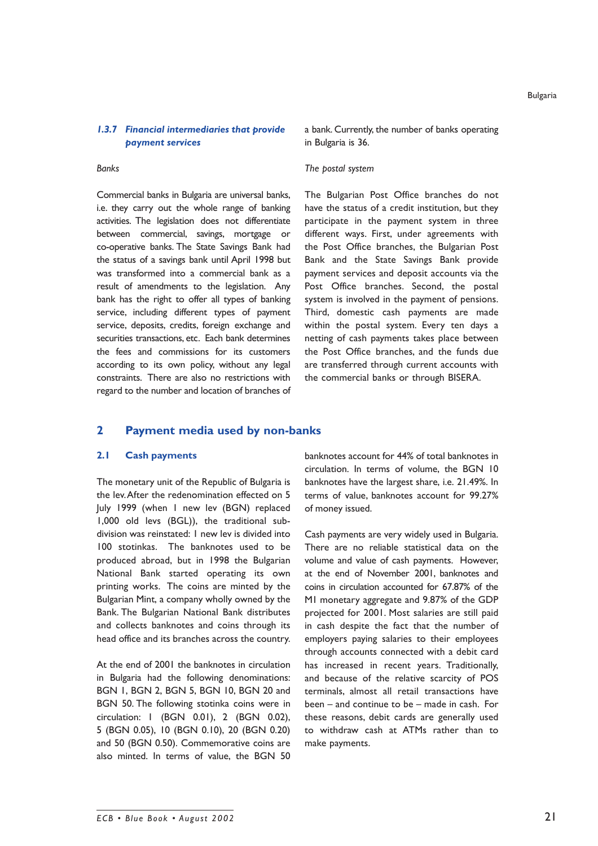# *1.3.7 Financial intermediaries that provide payment services*

#### *Banks*

Commercial banks in Bulgaria are universal banks, i.e. they carry out the whole range of banking activities. The legislation does not differentiate between commercial, savings, mortgage or co-operative banks. The State Savings Bank had the status of a savings bank until April 1998 but was transformed into a commercial bank as a result of amendments to the legislation. Any bank has the right to offer all types of banking service, including different types of payment service, deposits, credits, foreign exchange and securities transactions, etc. Each bank determines the fees and commissions for its customers according to its own policy, without any legal constraints. There are also no restrictions with regard to the number and location of branches of a bank. Currently, the number of banks operating in Bulgaria is 36.

#### *The postal system*

The Bulgarian Post Office branches do not have the status of a credit institution, but they participate in the payment system in three different ways. First, under agreements with the Post Office branches, the Bulgarian Post Bank and the State Savings Bank provide payment services and deposit accounts via the Post Office branches. Second, the postal system is involved in the payment of pensions. Third, domestic cash payments are made within the postal system. Every ten days a netting of cash payments takes place between the Post Office branches, and the funds due are transferred through current accounts with the commercial banks or through BISERA.

# **2 Payment media used by non-banks**

# **2.1 Cash payments**

The monetary unit of the Republic of Bulgaria is the lev. After the redenomination effected on 5 July 1999 (when 1 new lev (BGN) replaced 1,000 old levs (BGL)), the traditional subdivision was reinstated: 1 new lev is divided into 100 stotinkas. The banknotes used to be produced abroad, but in 1998 the Bulgarian National Bank started operating its own printing works. The coins are minted by the Bulgarian Mint, a company wholly owned by the Bank. The Bulgarian National Bank distributes and collects banknotes and coins through its head office and its branches across the country.

At the end of 2001 the banknotes in circulation in Bulgaria had the following denominations: BGN 1, BGN 2, BGN 5, BGN 10, BGN 20 and BGN 50. The following stotinka coins were in circulation: 1 (BGN 0.01), 2 (BGN 0.02), 5 (BGN 0.05), 10 (BGN 0.10), 20 (BGN 0.20) and 50 (BGN 0.50). Commemorative coins are also minted. In terms of value, the BGN 50

banknotes account for 44% of total banknotes in circulation. In terms of volume, the BGN 10 banknotes have the largest share, i.e. 21.49%. In terms of value, banknotes account for 99.27% of money issued.

Cash payments are very widely used in Bulgaria. There are no reliable statistical data on the volume and value of cash payments. However, at the end of November 2001, banknotes and coins in circulation accounted for 67.87% of the M1 monetary aggregate and 9.87% of the GDP projected for 2001. Most salaries are still paid in cash despite the fact that the number of employers paying salaries to their employees through accounts connected with a debit card has increased in recent years. Traditionally, and because of the relative scarcity of POS terminals, almost all retail transactions have been  $-$  and continue to be  $-$  made in cash. For these reasons, debit cards are generally used to withdraw cash at ATMs rather than to make payments.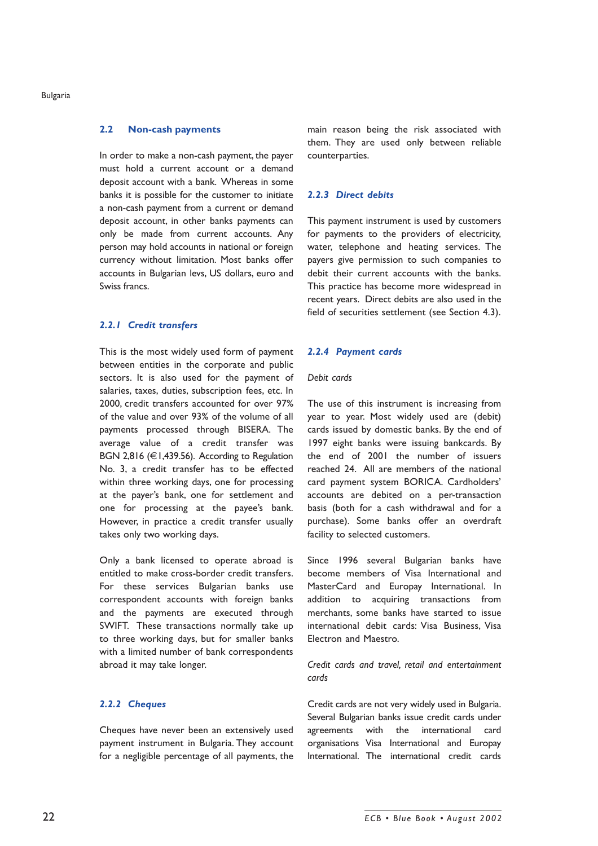#### **2.2 Non-cash payments**

In order to make a non-cash payment, the payer must hold a current account or a demand deposit account with a bank. Whereas in some banks it is possible for the customer to initiate a non-cash payment from a current or demand deposit account, in other banks payments can only be made from current accounts. Any person may hold accounts in national or foreign currency without limitation. Most banks offer accounts in Bulgarian levs, US dollars, euro and Swiss francs.

# *2.2.1 Credit transfers*

This is the most widely used form of payment between entities in the corporate and public sectors. It is also used for the payment of salaries, taxes, duties, subscription fees, etc. In 2000, credit transfers accounted for over 97% of the value and over 93% of the volume of all payments processed through BISERA. The average value of a credit transfer was BGN 2,816 (€1,439.56). According to Regulation No. 3, a credit transfer has to be effected within three working days, one for processing at the payer's bank, one for settlement and one for processing at the payee's bank. However, in practice a credit transfer usually takes only two working days.

Only a bank licensed to operate abroad is entitled to make cross-border credit transfers. For these services Bulgarian banks use correspondent accounts with foreign banks and the payments are executed through SWIFT. These transactions normally take up to three working days, but for smaller banks with a limited number of bank correspondents abroad it may take longer.

#### *2.2.2 Cheques*

Cheques have never been an extensively used payment instrument in Bulgaria. They account for a negligible percentage of all payments, the main reason being the risk associated with them. They are used only between reliable counterparties.

### *2.2.3 Direct debits*

This payment instrument is used by customers for payments to the providers of electricity, water, telephone and heating services. The payers give permission to such companies to debit their current accounts with the banks. This practice has become more widespread in recent years. Direct debits are also used in the field of securities settlement (see Section 4.3).

#### *2.2.4 Payment cards*

#### *Debit cards*

The use of this instrument is increasing from year to year. Most widely used are (debit) cards issued by domestic banks. By the end of 1997 eight banks were issuing bankcards. By the end of 2001 the number of issuers reached 24. All are members of the national card payment system BORICA. Cardholders' accounts are debited on a per-transaction basis (both for a cash withdrawal and for a purchase). Some banks offer an overdraft facility to selected customers.

Since 1996 several Bulgarian banks have become members of Visa International and MasterCard and Europay International. In addition to acquiring transactions from merchants, some banks have started to issue international debit cards: Visa Business, Visa Electron and Maestro.

### *Credit cards and travel, retail and entertainment cards*

Credit cards are not very widely used in Bulgaria. Several Bulgarian banks issue credit cards under agreements with the international card organisations Visa International and Europay International. The international credit cards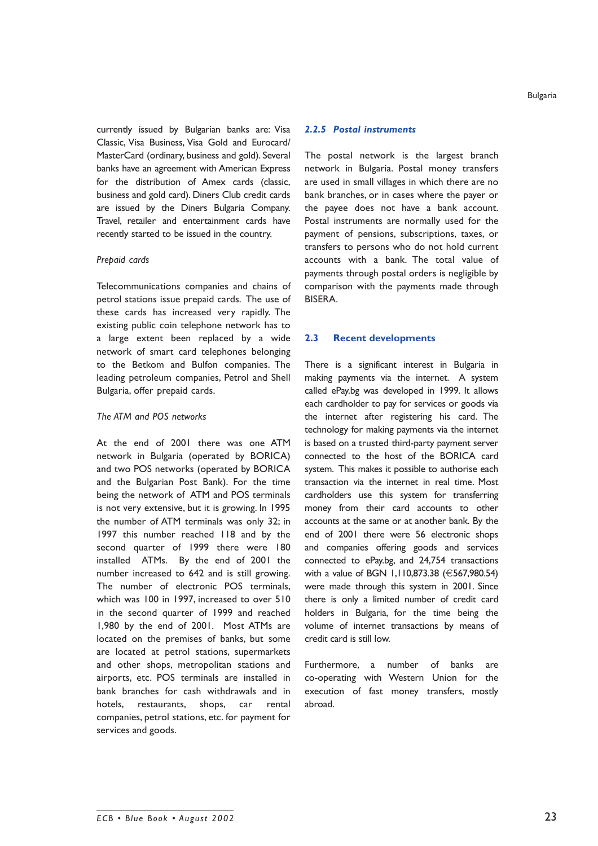currently issued by Bulgarian banks are: Visa Classic, Visa Business, Visa Gold and Eurocard/ MasterCard (ordinary, business and gold). Several banks have an agreement with American Express for the distribution of Amex cards (classic, business and gold card). Diners Club credit cards are issued by the Diners Bulgaria Company. Travel, retailer and entertainment cards have recently started to be issued in the country.

#### *Prepaid cards*

Telecommunications companies and chains of petrol stations issue prepaid cards. The use of these cards has increased very rapidly. The existing public coin telephone network has to a large extent been replaced by a wide network of smart card telephones belonging to the Betkom and Bulfon companies. The leading petroleum companies, Petrol and Shell Bulgaria, offer prepaid cards.

#### *The ATM and POS networks*

At the end of 2001 there was one ATM network in Bulgaria (operated by BORICA) and two POS networks (operated by BORICA and the Bulgarian Post Bank). For the time being the network of ATM and POS terminals is not very extensive, but it is growing. In 1995 the number of ATM terminals was only 32; in 1997 this number reached 118 and by the second quarter of 1999 there were 180 installed ATMs. By the end of 2001 the number increased to 642 and is still growing. The number of electronic POS terminals, which was 100 in 1997, increased to over 510 in the second quarter of 1999 and reached 1,980 by the end of 2001. Most ATMs are located on the premises of banks, but some are located at petrol stations, supermarkets and other shops, metropolitan stations and airports, etc. POS terminals are installed in bank branches for cash withdrawals and in hotels, restaurants, shops, car rental companies, petrol stations, etc. for payment for services and goods.

#### *2.2.5 Postal instruments*

The postal network is the largest branch network in Bulgaria. Postal money transfers are used in small villages in which there are no bank branches, or in cases where the payer or the payee does not have a bank account. Postal instruments are normally used for the payment of pensions, subscriptions, taxes, or transfers to persons who do not hold current accounts with a bank. The total value of payments through postal orders is negligible by comparison with the payments made through BISERA.

#### **2.3 Recent developments**

There is a significant interest in Bulgaria in making payments via the internet. A system called ePay.bg was developed in 1999. It allows each cardholder to pay for services or goods via the internet after registering his card. The technology for making payments via the internet is based on a trusted third-party payment server connected to the host of the BORICA card system. This makes it possible to authorise each transaction via the internet in real time. Most cardholders use this system for transferring money from their card accounts to other accounts at the same or at another bank. By the end of 2001 there were 56 electronic shops and companies offering goods and services connected to ePay.bg, and 24,754 transactions with a value of BGN 1,110,873.38 (€567,980.54) were made through this system in 2001. Since there is only a limited number of credit card holders in Bulgaria, for the time being the volume of internet transactions by means of credit card is still low.

Furthermore, a number of banks are co-operating with Western Union for the execution of fast money transfers, mostly abroad.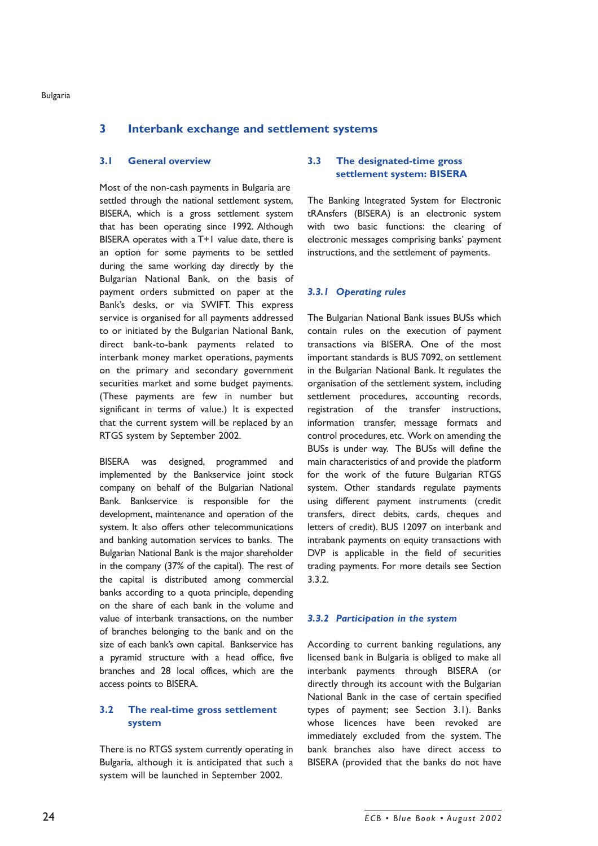# **3 Interbank exchange and settlement systems**

#### **3.1 General overview**

Most of the non-cash payments in Bulgaria are settled through the national settlement system, BISERA, which is a gross settlement system that has been operating since 1992. Although BISERA operates with a T+1 value date, there is an option for some payments to be settled during the same working day directly by the Bulgarian National Bank, on the basis of payment orders submitted on paper at the Bankís desks, or via SWIFT. This express service is organised for all payments addressed to or initiated by the Bulgarian National Bank, direct bank-to-bank payments related to interbank money market operations, payments on the primary and secondary government securities market and some budget payments. (These payments are few in number but significant in terms of value.) It is expected that the current system will be replaced by an RTGS system by September 2002.

BISERA was designed, programmed and implemented by the Bankservice joint stock company on behalf of the Bulgarian National Bank. Bankservice is responsible for the development, maintenance and operation of the system. It also offers other telecommunications and banking automation services to banks. The Bulgarian National Bank is the major shareholder in the company (37% of the capital). The rest of the capital is distributed among commercial banks according to a quota principle, depending on the share of each bank in the volume and value of interbank transactions, on the number of branches belonging to the bank and on the size of each bank's own capital. Bankservice has a pyramid structure with a head office, five branches and 28 local offices, which are the access points to BISERA.

# **3.2 The real-time gross settlement system**

There is no RTGS system currently operating in Bulgaria, although it is anticipated that such a system will be launched in September 2002.

# **3.3 The designated-time gross settlement system: BISERA**

The Banking Integrated System for Electronic tRAnsfers (BISERA) is an electronic system with two basic functions: the clearing of electronic messages comprising banks' payment instructions, and the settlement of payments.

# *3.3.1 Operating rules*

The Bulgarian National Bank issues BUSs which contain rules on the execution of payment transactions via BISERA. One of the most important standards is BUS 7092, on settlement in the Bulgarian National Bank. It regulates the organisation of the settlement system, including settlement procedures, accounting records, registration of the transfer instructions, information transfer, message formats and control procedures, etc. Work on amending the BUSs is under way. The BUSs will define the main characteristics of and provide the platform for the work of the future Bulgarian RTGS system. Other standards regulate payments using different payment instruments (credit transfers, direct debits, cards, cheques and letters of credit). BUS 12097 on interbank and intrabank payments on equity transactions with DVP is applicable in the field of securities trading payments. For more details see Section 3.3.2.

#### *3.3.2 Participation in the system*

According to current banking regulations, any licensed bank in Bulgaria is obliged to make all interbank payments through BISERA (or directly through its account with the Bulgarian National Bank in the case of certain specified types of payment; see Section 3.1). Banks whose licences have been revoked are immediately excluded from the system. The bank branches also have direct access to BISERA (provided that the banks do not have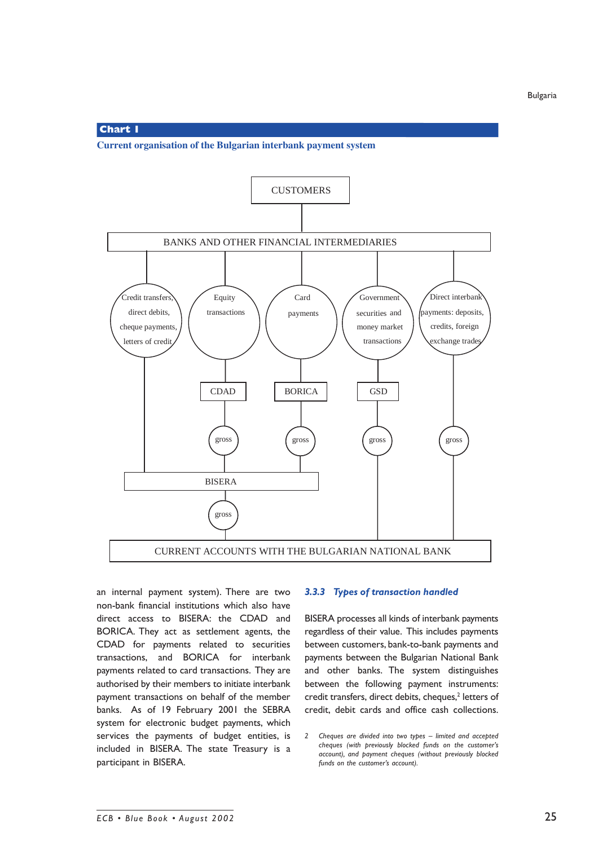#### **Chart 1**

**Current organisation of the Bulgarian interbank payment system**



an internal payment system). There are two non-bank financial institutions which also have direct access to BISERA: the CDAD and BORICA. They act as settlement agents, the CDAD for payments related to securities transactions, and BORICA for interbank payments related to card transactions. They are authorised by their members to initiate interbank payment transactions on behalf of the member banks. As of 19 February 2001 the SEBRA system for electronic budget payments, which services the payments of budget entities, is included in BISERA. The state Treasury is a participant in BISERA.

#### *3.3.3 Types of transaction handled*

BISERA processes all kinds of interbank payments regardless of their value. This includes payments between customers, bank-to-bank payments and payments between the Bulgarian National Bank and other banks. The system distinguishes between the following payment instruments: credit transfers, direct debits, cheques,<sup>2</sup> letters of credit, debit cards and office cash collections.

<sup>2</sup> Cheques are divided into two types - limited and accepted *cheques (with previously blocked funds on the customerís account), and payment cheques (without previously blocked* funds on the customer's account).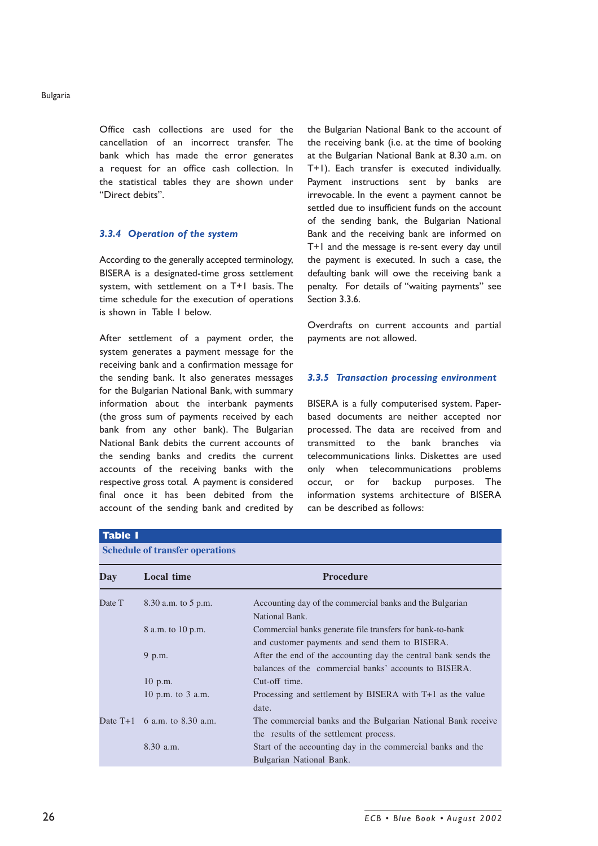Office cash collections are used for the cancellation of an incorrect transfer. The bank which has made the error generates a request for an office cash collection. In the statistical tables they are shown under "Direct debits".

#### *3.3.4 Operation of the system*

According to the generally accepted terminology, BISERA is a designated-time gross settlement system, with settlement on a T+1 basis. The time schedule for the execution of operations is shown in Table 1 below.

After settlement of a payment order, the system generates a payment message for the receiving bank and a confirmation message for the sending bank. It also generates messages for the Bulgarian National Bank, with summary information about the interbank payments (the gross sum of payments received by each bank from any other bank). The Bulgarian National Bank debits the current accounts of the sending banks and credits the current accounts of the receiving banks with the respective gross total*.* A payment is considered final once it has been debited from the account of the sending bank and credited by the Bulgarian National Bank to the account of the receiving bank (i.e. at the time of booking at the Bulgarian National Bank at 8.30 a.m. on T+1). Each transfer is executed individually. Payment instructions sent by banks are irrevocable. In the event a payment cannot be settled due to insufficient funds on the account of the sending bank, the Bulgarian National Bank and the receiving bank are informed on T+1 and the message is re-sent every day until the payment is executed. In such a case, the defaulting bank will owe the receiving bank a penalty. For details of "waiting payments" see Section 3.3.6.

Overdrafts on current accounts and partial payments are not allowed.

#### *3.3.5 Transaction processing environment*

BISERA is a fully computerised system. Paperbased documents are neither accepted nor processed. The data are received from and transmitted to the bank branches via telecommunications links. Diskettes are used only when telecommunications problems occur, or for backup purposes. The information systems architecture of BISERA can be described as follows:

|        | <b>Schedule of transfer operations</b> |                                                                                                                         |
|--------|----------------------------------------|-------------------------------------------------------------------------------------------------------------------------|
| Day    | Local time                             | <b>Procedure</b>                                                                                                        |
| Date T | 8.30 a.m. to 5 p.m.                    | Accounting day of the commercial banks and the Bulgarian<br>National Bank.                                              |
|        | 8 a.m. to 10 p.m.                      | Commercial banks generate file transfers for bank-to-bank<br>and customer payments and send them to BISERA.             |
|        | 9 p.m.                                 | After the end of the accounting day the central bank sends the<br>balances of the commercial banks' accounts to BISERA. |
|        | $10$ p.m.                              | Cut-off time.                                                                                                           |
|        | 10 p.m. to $3$ a.m.                    | Processing and settlement by BISERA with T+1 as the value<br>date.                                                      |
|        | Date $T+1$ 6 a.m. to 8.30 a.m.         | The commercial banks and the Bulgarian National Bank receive<br>the results of the settlement process.                  |
|        | $8.30$ a.m.                            | Start of the accounting day in the commercial banks and the<br>Bulgarian National Bank.                                 |

# **Table 1**

#### *ECB ï Blue Book ï August 2002*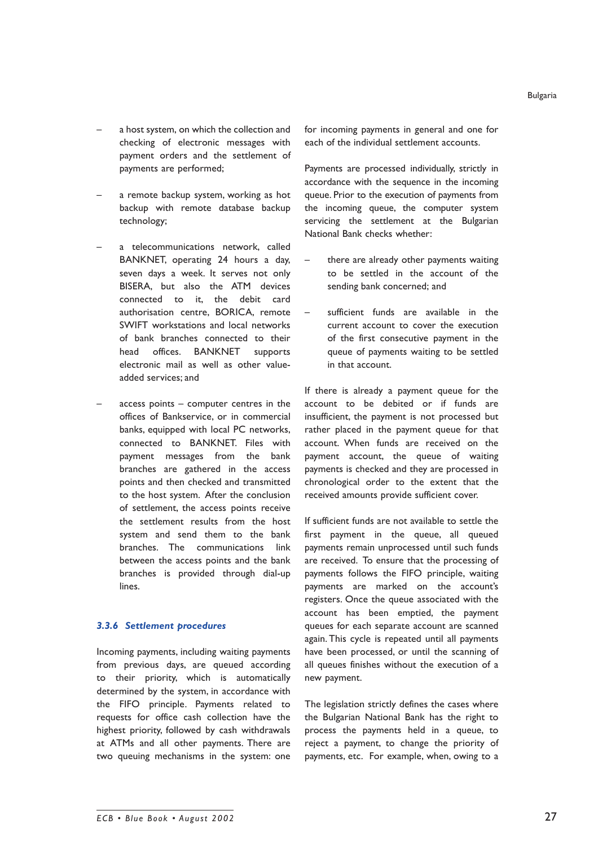- a host system, on which the collection and checking of electronic messages with payment orders and the settlement of payments are performed;
- a remote backup system, working as hot backup with remote database backup technology;
- a telecommunications network, called BANKNET, operating 24 hours a day, seven days a week. It serves not only BISERA, but also the ATM devices connected to it, the debit card authorisation centre, BORICA, remote SWIFT workstations and local networks of bank branches connected to their head offices. BANKNET supports electronic mail as well as other valueadded services; and
- access points  $-$  computer centres in the offices of Bankservice, or in commercial banks, equipped with local PC networks, connected to BANKNET. Files with payment messages from the bank branches are gathered in the access points and then checked and transmitted to the host system. After the conclusion of settlement, the access points receive the settlement results from the host system and send them to the bank branches. The communications link between the access points and the bank branches is provided through dial-up lines.

# *3.3.6 Settlement procedures*

Incoming payments, including waiting payments from previous days, are queued according to their priority, which is automatically determined by the system, in accordance with the FIFO principle. Payments related to requests for office cash collection have the highest priority, followed by cash withdrawals at ATMs and all other payments. There are two queuing mechanisms in the system: one for incoming payments in general and one for each of the individual settlement accounts.

Payments are processed individually, strictly in accordance with the sequence in the incoming queue. Prior to the execution of payments from the incoming queue, the computer system servicing the settlement at the Bulgarian National Bank checks whether:

- there are already other payments waiting to be settled in the account of the sending bank concerned; and
- sufficient funds are available in the current account to cover the execution of the first consecutive payment in the queue of payments waiting to be settled in that account.

If there is already a payment queue for the account to be debited or if funds are insufficient, the payment is not processed but rather placed in the payment queue for that account. When funds are received on the payment account, the queue of waiting payments is checked and they are processed in chronological order to the extent that the received amounts provide sufficient cover.

If sufficient funds are not available to settle the first payment in the queue, all queued payments remain unprocessed until such funds are received. To ensure that the processing of payments follows the FIFO principle, waiting payments are marked on the account's registers. Once the queue associated with the account has been emptied, the payment queues for each separate account are scanned again. This cycle is repeated until all payments have been processed, or until the scanning of all queues finishes without the execution of a new payment.

The legislation strictly defines the cases where the Bulgarian National Bank has the right to process the payments held in a queue, to reject a payment, to change the priority of payments, etc. For example, when, owing to a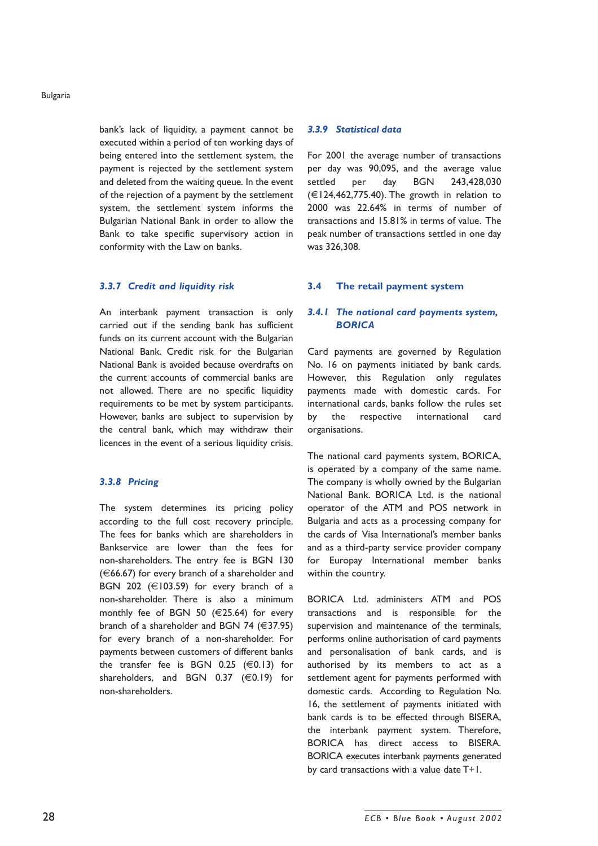bankís lack of liquidity, a payment cannot be executed within a period of ten working days of being entered into the settlement system, the payment is rejected by the settlement system and deleted from the waiting queue. In the event of the rejection of a payment by the settlement system, the settlement system informs the Bulgarian National Bank in order to allow the Bank to take specific supervisory action in conformity with the Law on banks.

#### *3.3.7 Credit and liquidity risk*

An interbank payment transaction is only carried out if the sending bank has sufficient funds on its current account with the Bulgarian National Bank. Credit risk for the Bulgarian National Bank is avoided because overdrafts on the current accounts of commercial banks are not allowed. There are no specific liquidity requirements to be met by system participants. However, banks are subject to supervision by the central bank, which may withdraw their licences in the event of a serious liquidity crisis.

#### *3.3.8 Pricing*

The system determines its pricing policy according to the full cost recovery principle. The fees for banks which are shareholders in Bankservice are lower than the fees for non-shareholders. The entry fee is BGN 130  $(66.67)$  for every branch of a shareholder and BGN 202 ( $\in$ 103.59) for every branch of a non-shareholder. There is also a minimum monthly fee of BGN 50  $(E25.64)$  for every branch of a shareholder and BGN 74  $(€37.95)$ for every branch of a non-shareholder. For payments between customers of different banks the transfer fee is BGN 0.25  $(\in 0.13)$  for shareholders, and BGN 0.37 (€0.19) for non-shareholders.

#### *3.3.9 Statistical data*

For 2001 the average number of transactions per day was 90,095, and the average value settled per day BGN 243,428,030  $(E124.462.775.40)$ . The growth in relation to 2000 was 22.64% in terms of number of transactions and 15.81% in terms of value. The peak number of transactions settled in one day was 326,308.

#### **3.4 The retail payment system**

# *3.4.1 The national card payments system, BORICA*

Card payments are governed by Regulation No. 16 on payments initiated by bank cards. However, this Regulation only regulates payments made with domestic cards. For international cards, banks follow the rules set by the respective international card organisations.

The national card payments system, BORICA, is operated by a company of the same name. The company is wholly owned by the Bulgarian National Bank. BORICA Ltd. is the national operator of the ATM and POS network in Bulgaria and acts as a processing company for the cards of Visa International's member banks and as a third-party service provider company for Europay International member banks within the country.

BORICA Ltd. administers ATM and POS transactions and is responsible for the supervision and maintenance of the terminals, performs online authorisation of card payments and personalisation of bank cards, and is authorised by its members to act as a settlement agent for payments performed with domestic cards. According to Regulation No. 16, the settlement of payments initiated with bank cards is to be effected through BISERA, the interbank payment system. Therefore, BORICA has direct access to BISERA. BORICA executes interbank payments generated by card transactions with a value date T+1.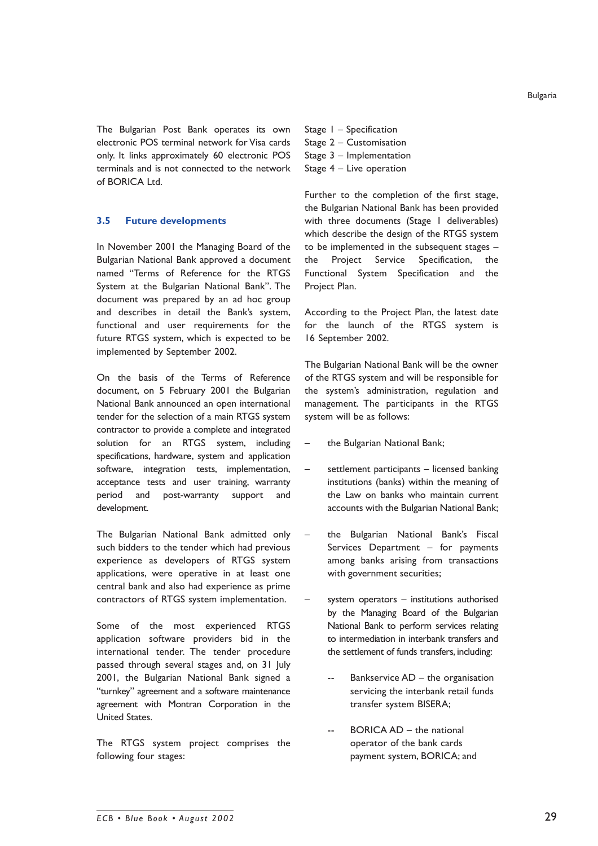The Bulgarian Post Bank operates its own electronic POS terminal network for Visa cards only. It links approximately 60 electronic POS terminals and is not connected to the network of BORICA Ltd.

### **3.5 Future developments**

In November 2001 the Managing Board of the Bulgarian National Bank approved a document named "Terms of Reference for the RTGS System at the Bulgarian National Bank". The document was prepared by an ad hoc group and describes in detail the Bank's system, functional and user requirements for the future RTGS system, which is expected to be implemented by September 2002.

On the basis of the Terms of Reference document, on 5 February 2001 the Bulgarian National Bank announced an open international tender for the selection of a main RTGS system contractor to provide a complete and integrated solution for an RTGS system, including specifications, hardware, system and application software, integration tests, implementation, acceptance tests and user training, warranty period and post-warranty support and development.

The Bulgarian National Bank admitted only such bidders to the tender which had previous experience as developers of RTGS system applications, were operative in at least one central bank and also had experience as prime contractors of RTGS system implementation.

Some of the most experienced RTGS application software providers bid in the international tender. The tender procedure passed through several stages and, on 31 July 2001, the Bulgarian National Bank signed a "turnkey" agreement and a software maintenance agreement with Montran Corporation in the United States.

The RTGS system project comprises the following four stages:

Stage  $I -$  Specification Stage  $2$  – Customisation Stage  $3$  – Implementation Stage  $4 -$  Live operation

Further to the completion of the first stage, the Bulgarian National Bank has been provided with three documents (Stage 1 deliverables) which describe the design of the RTGS system to be implemented in the subsequent stages  $$ the Project Service Specification, the Functional System Specification and the Project Plan.

According to the Project Plan, the latest date for the launch of the RTGS system is 16 September 2002.

The Bulgarian National Bank will be the owner of the RTGS system and will be responsible for the system's administration, regulation and management. The participants in the RTGS system will be as follows:

- the Bulgarian National Bank;
- settlement participants licensed banking institutions (banks) within the meaning of the Law on banks who maintain current accounts with the Bulgarian National Bank;
- the Bulgarian National Bank's Fiscal Services Department  $-$  for payments among banks arising from transactions with government securities;
- system operators  $-$  institutions authorised by the Managing Board of the Bulgarian National Bank to perform services relating to intermediation in interbank transfers and the settlement of funds transfers, including:
	- $-$  Bankservice  $AD -$  the organisation servicing the interbank retail funds transfer system BISERA;
	- $BORICA AD the national$ operator of the bank cards payment system, BORICA; and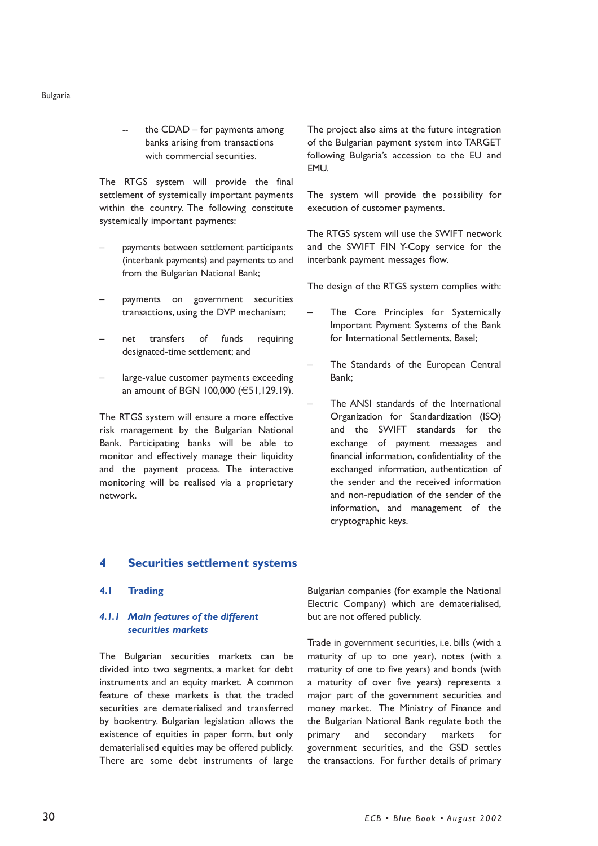the  $CDAD -$  for payments among banks arising from transactions with commercial securities.

The RTGS system will provide the final settlement of systemically important payments within the country. The following constitute systemically important payments:

- payments between settlement participants (interbank payments) and payments to and from the Bulgarian National Bank;
- payments on government securities transactions, using the DVP mechanism;
- net transfers of funds requiring designated-time settlement; and
- large-value customer payments exceeding an amount of BGN 100,000 (€51,129.19).

The RTGS system will ensure a more effective risk management by the Bulgarian National Bank. Participating banks will be able to monitor and effectively manage their liquidity and the payment process. The interactive monitoring will be realised via a proprietary network.

The project also aims at the future integration of the Bulgarian payment system into TARGET following Bulgaria's accession to the EU and EMU.

The system will provide the possibility for execution of customer payments.

The RTGS system will use the SWIFT network and the SWIFT FIN Y-Copy service for the interbank payment messages flow.

The design of the RTGS system complies with:

- The Core Principles for Systemically Important Payment Systems of the Bank for International Settlements, Basel;
- The Standards of the European Central Bank;
- The ANSI standards of the International Organization for Standardization (ISO) and the SWIFT standards for the exchange of payment messages and financial information, confidentiality of the exchanged information, authentication of the sender and the received information and non-repudiation of the sender of the information, and management of the cryptographic keys.

# **4 Securities settlement systems**

#### **4.1 Trading**

# *4.1.1 Main features of the different securities markets*

The Bulgarian securities markets can be divided into two segments, a market for debt instruments and an equity market. A common feature of these markets is that the traded securities are dematerialised and transferred by bookentry. Bulgarian legislation allows the existence of equities in paper form, but only dematerialised equities may be offered publicly. There are some debt instruments of large Bulgarian companies (for example the National Electric Company) which are dematerialised, but are not offered publicly.

Trade in government securities, i.e. bills (with a maturity of up to one year), notes (with a maturity of one to five years) and bonds (with a maturity of over five years) represents a major part of the government securities and money market. The Ministry of Finance and the Bulgarian National Bank regulate both the primary and secondary markets for government securities, and the GSD settles the transactions. For further details of primary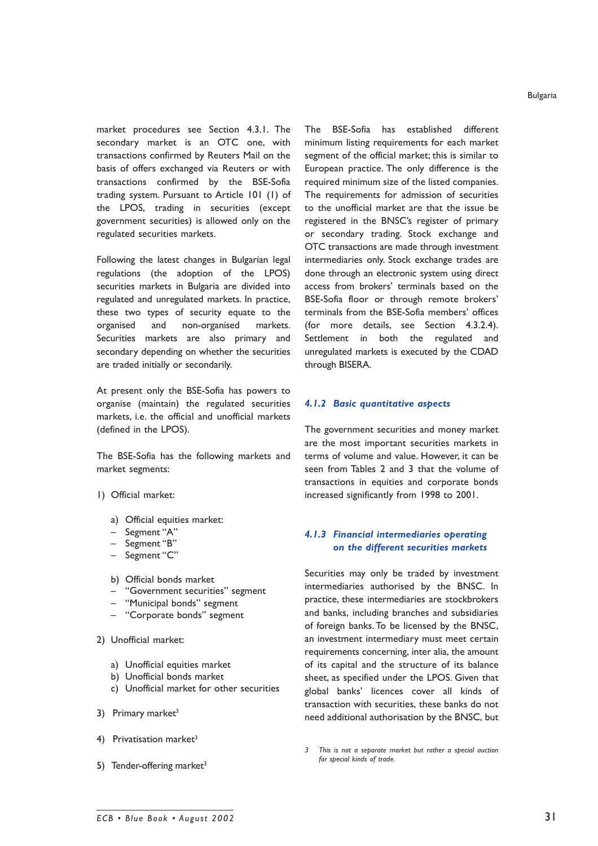market procedures see Section 4.3.1. The secondary market is an OTC one, with transactions confirmed by Reuters Mail on the basis of offers exchanged via Reuters or with transactions confirmed by the BSE-Sofia trading system. Pursuant to Article 101 (1) of the LPOS, trading in securities (except government securities) is allowed only on the regulated securities markets.

Following the latest changes in Bulgarian legal regulations (the adoption of the LPOS) securities markets in Bulgaria are divided into regulated and unregulated markets. In practice, these two types of security equate to the organised and non-organised markets. Securities markets are also primary and secondary depending on whether the securities are traded initially or secondarily.

At present only the BSE-Sofia has powers to organise (maintain) the regulated securities markets, i.e. the official and unofficial markets (defined in the LPOS).

The BSE-Sofia has the following markets and market segments:

- 1) Official market:
	- a) Official equities market:
	- Segment "A"
	- Segment "B"
	- Segment "C"
	- b) Official bonds market
	- **"Government securities" segment**
	- "Municipal bonds" segment
	- "Corporate bonds" segment
- 2) Unofficial market:
	- a) Unofficial equities market
	- b) Unofficial bonds market
	- c) Unofficial market for other securities
- 3) Primary market $3$
- 4) Privatisation market $3$
- 5) Tender-offering market $3$

The BSE-Sofia has established different minimum listing requirements for each market segment of the official market; this is similar to European practice. The only difference is the required minimum size of the listed companies. The requirements for admission of securities to the unofficial market are that the issue be registered in the BNSC's register of primary or secondary trading. Stock exchange and OTC transactions are made through investment intermediaries only. Stock exchange trades are done through an electronic system using direct access from brokers' terminals based on the BSE-Sofia floor or through remote brokers' terminals from the BSE-Sofia members' offices (for more details, see Section 4.3.2.4). Settlement in both the regulated and unregulated markets is executed by the CDAD through BISERA.

#### *4.1.2 Basic quantitative aspects*

The government securities and money market are the most important securities markets in terms of volume and value. However, it can be seen from Tables 2 and 3 that the volume of transactions in equities and corporate bonds increased significantly from 1998 to 2001.

# *4.1.3 Financial intermediaries operating on the different securities markets*

Securities may only be traded by investment intermediaries authorised by the BNSC. In practice, these intermediaries are stockbrokers and banks, including branches and subsidiaries of foreign banks. To be licensed by the BNSC, an investment intermediary must meet certain requirements concerning, inter alia, the amount of its capital and the structure of its balance sheet, as specified under the LPOS. Given that global banksí licences cover all kinds of transaction with securities, these banks do not need additional authorisation by the BNSC, but

*3 This is not a separate market but rather a special auction for special kinds of trade.*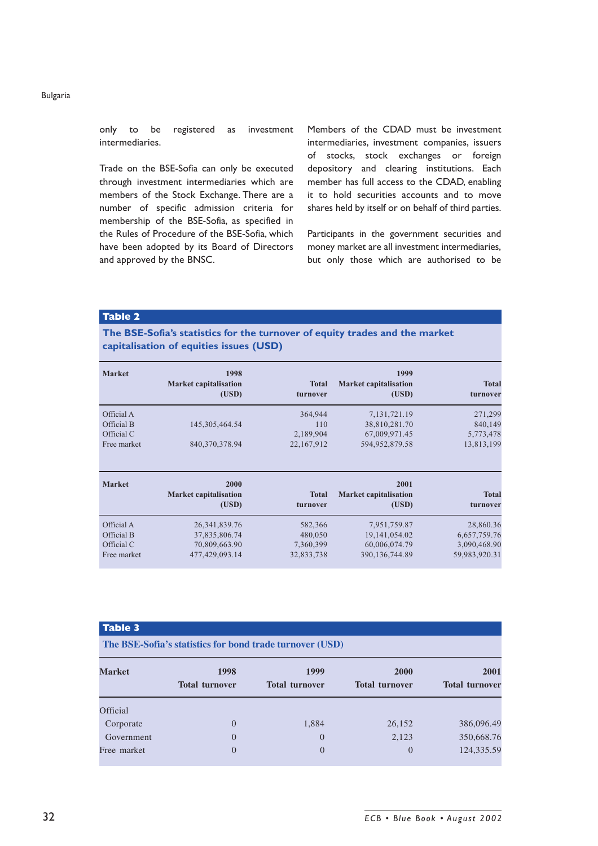only to be registered as investment intermediaries.

Trade on the BSE-Sofia can only be executed through investment intermediaries which are members of the Stock Exchange. There are a number of specific admission criteria for membership of the BSE-Sofia, as specified in the Rules of Procedure of the BSE-Sofia, which have been adopted by its Board of Directors and approved by the BNSC.

Members of the CDAD must be investment intermediaries, investment companies, issuers of stocks, stock exchanges or foreign depository and clearing institutions. Each member has full access to the CDAD, enabling it to hold securities accounts and to move shares held by itself or on behalf of third parties.

Participants in the government securities and money market are all investment intermediaries, but only those which are authorised to be

**Table 2**

**The BSE-Sofiaís statistics for the turnover of equity trades and the market capitalisation of equities issues (USD)**

| <b>Market</b> | 1998<br><b>Market capitalisation</b><br>(USD) | <b>Total</b><br>turnover | 1999<br><b>Market capitalisation</b><br>(USD) | <b>Total</b><br>turnover |
|---------------|-----------------------------------------------|--------------------------|-----------------------------------------------|--------------------------|
| Official A    |                                               | 364,944                  | 7, 131, 721. 19                               | 271,299                  |
| Official B    | 145, 305, 464. 54                             | 110                      | 38,810,281.70                                 | 840,149                  |
| Official C    |                                               | 2,189,904                | 67,009,971.45                                 | 5,773,478                |
| Free market   | 840,370,378.94                                | 22,167,912               | 594,952,879.58                                | 13,813,199               |
| <b>Market</b> | 2000<br><b>Market capitalisation</b><br>(USD) | <b>Total</b><br>turnover | 2001<br><b>Market capitalisation</b><br>(USD) | <b>Total</b><br>turnover |
| Official A    |                                               |                          |                                               |                          |
|               | 26, 341, 839. 76                              | 582,366                  | 7,951,759.87                                  | 28,860.36                |
| Official B    | 37,835,806.74                                 | 480,050                  | 19, 141, 054, 02                              | 6,657,759.76             |
| Official C    | 70,809,663.90                                 | 7,360,399                | 60,006,074.79                                 | 3,090,468.90             |
| Free market   | 477,429,093.14                                | 32,833,738               | 390,136,744.89                                | 59,983,920.31            |

#### **Table 3**

**The BSE-Sofia's statistics for bond trade turnover (USD)**

| <b>Market</b> | 1998<br><b>Total turnover</b> | 1999<br><b>Total turnover</b> | 2000<br><b>Total turnover</b> | 2001<br><b>Total turnover</b> |
|---------------|-------------------------------|-------------------------------|-------------------------------|-------------------------------|
|               |                               |                               |                               |                               |
| Corporate     | $\overline{0}$                | 1,884                         | 26,152                        | 386,096.49                    |
| Government    | 0                             | $\overline{0}$                | 2,123                         | 350,668.76                    |
| Free market   | $\Omega$                      | $\Omega$                      | $\theta$                      | 124,335.59                    |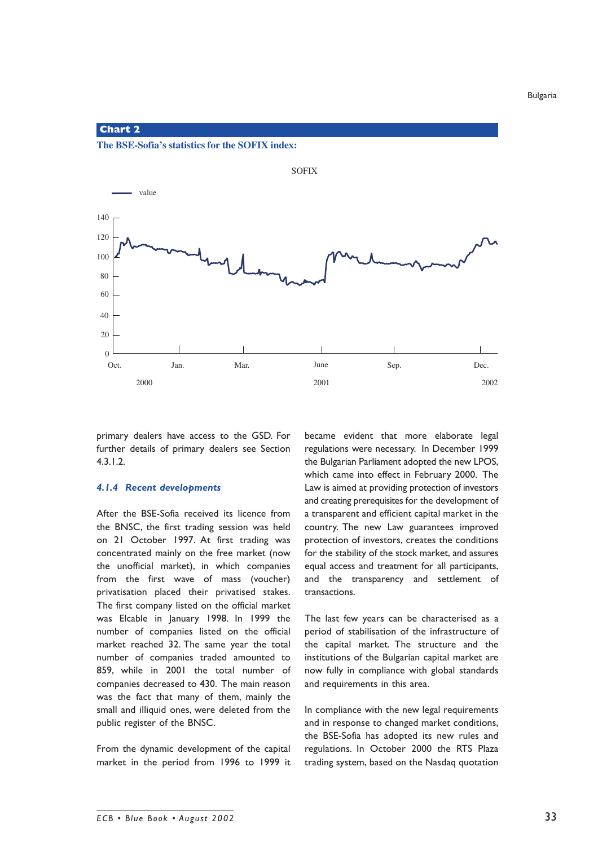**Chart 2**

**The BSE-Sofia's statistics for the SOFIX index:**



primary dealers have access to the GSD. For further details of primary dealers see Section 4.3.1.2.

#### *4.1.4 Recent developments*

After the BSE-Sofia received its licence from the BNSC, the first trading session was held on 21 October 1997. At first trading was concentrated mainly on the free market (now the unofficial market), in which companies from the first wave of mass (voucher) privatisation placed their privatised stakes. The first company listed on the official market was Elcable in January 1998. In 1999 the number of companies listed on the official market reached 32. The same year the total number of companies traded amounted to 859, while in 2001 the total number of companies decreased to 430. The main reason was the fact that many of them, mainly the small and illiquid ones, were deleted from the public register of the BNSC.

From the dynamic development of the capital market in the period from 1996 to 1999 it became evident that more elaborate legal regulations were necessary. In December 1999 the Bulgarian Parliament adopted the new LPOS, which came into effect in February 2000. The Law is aimed at providing protection of investors and creating prerequisites for the development of a transparent and efficient capital market in the country. The new Law guarantees improved protection of investors, creates the conditions for the stability of the stock market, and assures equal access and treatment for all participants, and the transparency and settlement of transactions.

The last few years can be characterised as a period of stabilisation of the infrastructure of the capital market. The structure and the institutions of the Bulgarian capital market are now fully in compliance with global standards and requirements in this area.

In compliance with the new legal requirements and in response to changed market conditions, the BSE-Sofia has adopted its new rules and regulations. In October 2000 the RTS Plaza trading system, based on the Nasdaq quotation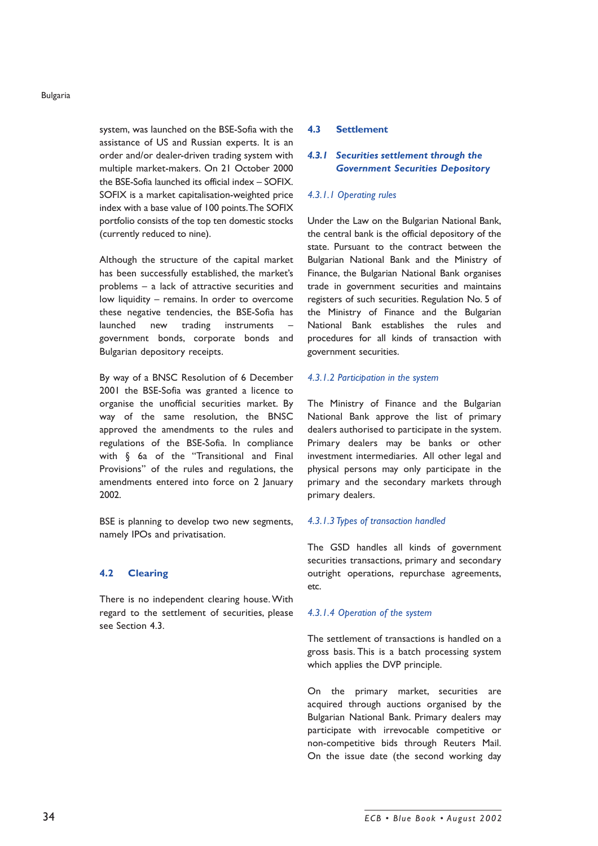system, was launched on the BSE-Sofia with the assistance of US and Russian experts. It is an order and/or dealer-driven trading system with multiple market-makers. On 21 October 2000 the BSE-Sofia launched its official index  $-$  SOFIX. SOFIX is a market capitalisation-weighted price index with a base value of 100 points. The SOFIX portfolio consists of the top ten domestic stocks (currently reduced to nine).

Although the structure of the capital market has been successfully established, the market's problems  $-$  a lack of attractive securities and low liquidity - remains. In order to overcome these negative tendencies, the BSE-Sofia has launched new trading instruments government bonds, corporate bonds and Bulgarian depository receipts.

By way of a BNSC Resolution of 6 December 2001 the BSE-Sofia was granted a licence to organise the unofficial securities market. By way of the same resolution, the BNSC approved the amendments to the rules and regulations of the BSE-Sofia. In compliance with  $§$  6a of the "Transitional and Final Provisions" of the rules and regulations, the amendments entered into force on 2 January 2002.

BSE is planning to develop two new segments, namely IPOs and privatisation.

#### **4.2 Clearing**

There is no independent clearing house. With regard to the settlement of securities, please see Section 4.3.

#### **4.3 Settlement**

# *4.3.1 Securities settlement through the Government Securities Depository*

#### *4.3.1.1 Operating rules*

Under the Law on the Bulgarian National Bank, the central bank is the official depository of the state. Pursuant to the contract between the Bulgarian National Bank and the Ministry of Finance, the Bulgarian National Bank organises trade in government securities and maintains registers of such securities. Regulation No. 5 of the Ministry of Finance and the Bulgarian National Bank establishes the rules and procedures for all kinds of transaction with government securities.

#### *4.3.1.2 Participation in the system*

The Ministry of Finance and the Bulgarian National Bank approve the list of primary dealers authorised to participate in the system. Primary dealers may be banks or other investment intermediaries. All other legal and physical persons may only participate in the primary and the secondary markets through primary dealers.

#### *4.3.1.3 Types of transaction handled*

The GSD handles all kinds of government securities transactions, primary and secondary outright operations, repurchase agreements, etc.

#### *4.3.1.4 Operation of the system*

The settlement of transactions is handled on a gross basis. This is a batch processing system which applies the DVP principle.

On the primary market, securities are acquired through auctions organised by the Bulgarian National Bank. Primary dealers may participate with irrevocable competitive or non-competitive bids through Reuters Mail. On the issue date (the second working day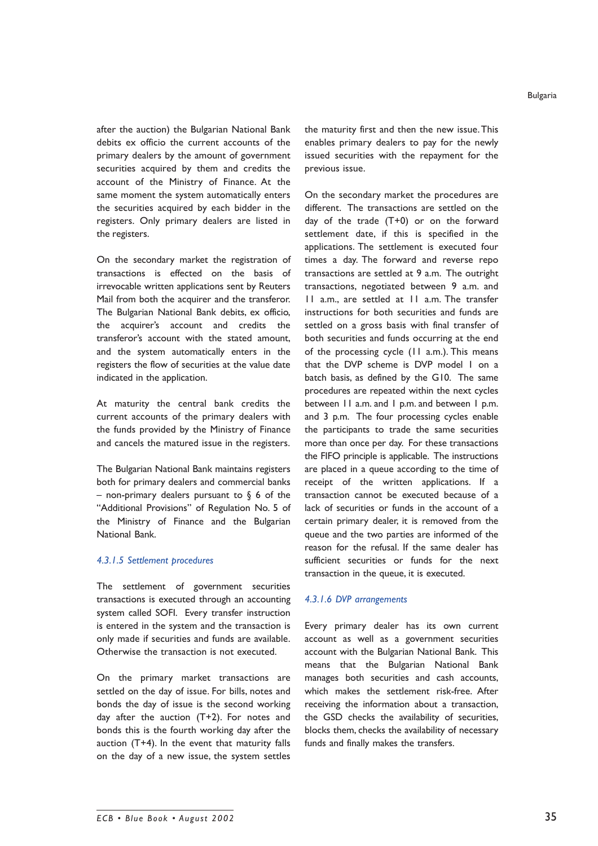after the auction) the Bulgarian National Bank debits ex officio the current accounts of the primary dealers by the amount of government securities acquired by them and credits the account of the Ministry of Finance. At the same moment the system automatically enters the securities acquired by each bidder in the registers. Only primary dealers are listed in the registers.

On the secondary market the registration of transactions is effected on the basis of irrevocable written applications sent by Reuters Mail from both the acquirer and the transferor. The Bulgarian National Bank debits, ex officio, the acquirerís account and credits the transferorís account with the stated amount, and the system automatically enters in the registers the flow of securities at the value date indicated in the application.

At maturity the central bank credits the current accounts of the primary dealers with the funds provided by the Ministry of Finance and cancels the matured issue in the registers.

The Bulgarian National Bank maintains registers both for primary dealers and commercial banks - non-primary dealers pursuant to  $\S$  6 of the "Additional Provisions" of Regulation No. 5 of the Ministry of Finance and the Bulgarian National Bank.

#### *4.3.1.5 Settlement procedures*

The settlement of government securities transactions is executed through an accounting system called SOFI. Every transfer instruction is entered in the system and the transaction is only made if securities and funds are available. Otherwise the transaction is not executed.

On the primary market transactions are settled on the day of issue. For bills, notes and bonds the day of issue is the second working day after the auction (T+2). For notes and bonds this is the fourth working day after the auction (T+4). In the event that maturity falls on the day of a new issue, the system settles the maturity first and then the new issue. This enables primary dealers to pay for the newly issued securities with the repayment for the previous issue.

On the secondary market the procedures are different. The transactions are settled on the day of the trade (T+0) or on the forward settlement date, if this is specified in the applications. The settlement is executed four times a day. The forward and reverse repo transactions are settled at 9 a.m. The outright transactions, negotiated between 9 a.m. and 11 a.m., are settled at 11 a.m. The transfer instructions for both securities and funds are settled on a gross basis with final transfer of both securities and funds occurring at the end of the processing cycle (11 a.m.). This means that the DVP scheme is DVP model 1 on a batch basis, as defined by the G10. The same procedures are repeated within the next cycles between 11 a.m. and 1 p.m. and between 1 p.m. and 3 p.m. The four processing cycles enable the participants to trade the same securities more than once per day. For these transactions the FIFO principle is applicable. The instructions are placed in a queue according to the time of receipt of the written applications. If a transaction cannot be executed because of a lack of securities or funds in the account of a certain primary dealer, it is removed from the queue and the two parties are informed of the reason for the refusal. If the same dealer has sufficient securities or funds for the next transaction in the queue, it is executed.

# *4.3.1.6 DVP arrangements*

Every primary dealer has its own current account as well as a government securities account with the Bulgarian National Bank. This means that the Bulgarian National Bank manages both securities and cash accounts, which makes the settlement risk-free. After receiving the information about a transaction, the GSD checks the availability of securities, blocks them, checks the availability of necessary funds and finally makes the transfers.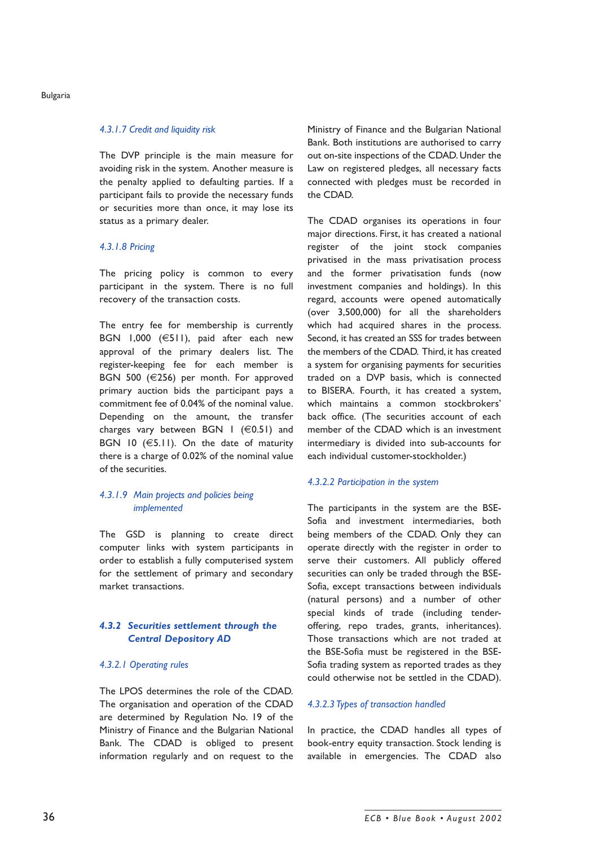#### *4.3.1.7 Credit and liquidity risk*

The DVP principle is the main measure for avoiding risk in the system. Another measure is the penalty applied to defaulting parties. If a participant fails to provide the necessary funds or securities more than once, it may lose its status as a primary dealer.

# *4.3.1.8 Pricing*

The pricing policy is common to every participant in the system. There is no full recovery of the transaction costs.

The entry fee for membership is currently BGN 1,000 (€511), paid after each new approval of the primary dealers list. The register-keeping fee for each member is BGN 500 (€256) per month. For approved primary auction bids the participant pays a commitment fee of 0.04% of the nominal value. Depending on the amount, the transfer charges vary between BGN  $|$  ( $\in$ 0.51) and BGN 10  $(65.11)$ . On the date of maturity there is a charge of 0.02% of the nominal value of the securities.

# *4.3.1.9 Main projects and policies being implemented*

The GSD is planning to create direct computer links with system participants in order to establish a fully computerised system for the settlement of primary and secondary market transactions.

# *4.3.2 Securities settlement through the Central Depository AD*

#### *4.3.2.1 Operating rules*

The LPOS determines the role of the CDAD. The organisation and operation of the CDAD are determined by Regulation No. 19 of the Ministry of Finance and the Bulgarian National Bank. The CDAD is obliged to present information regularly and on request to the Ministry of Finance and the Bulgarian National Bank. Both institutions are authorised to carry out on-site inspections of the CDAD. Under the Law on registered pledges, all necessary facts connected with pledges must be recorded in the CDAD.

The CDAD organises its operations in four major directions. First, it has created a national register of the joint stock companies privatised in the mass privatisation process and the former privatisation funds (now investment companies and holdings). In this regard, accounts were opened automatically (over 3,500,000) for all the shareholders which had acquired shares in the process. Second, it has created an SSS for trades between the members of the CDAD. Third, it has created a system for organising payments for securities traded on a DVP basis, which is connected to BISERA. Fourth, it has created a system, which maintains a common stockbrokers' back office. (The securities account of each member of the CDAD which is an investment intermediary is divided into sub-accounts for each individual customer-stockholder.)

# *4.3.2.2 Participation in the system*

The participants in the system are the BSE-Sofia and investment intermediaries, both being members of the CDAD. Only they can operate directly with the register in order to serve their customers. All publicly offered securities can only be traded through the BSE-Sofia, except transactions between individuals (natural persons) and a number of other special kinds of trade (including tenderoffering, repo trades, grants, inheritances). Those transactions which are not traded at the BSE-Sofia must be registered in the BSE-Sofia trading system as reported trades as they could otherwise not be settled in the CDAD).

#### *4.3.2.3 Types of transaction handled*

In practice, the CDAD handles all types of book-entry equity transaction. Stock lending is available in emergencies. The CDAD also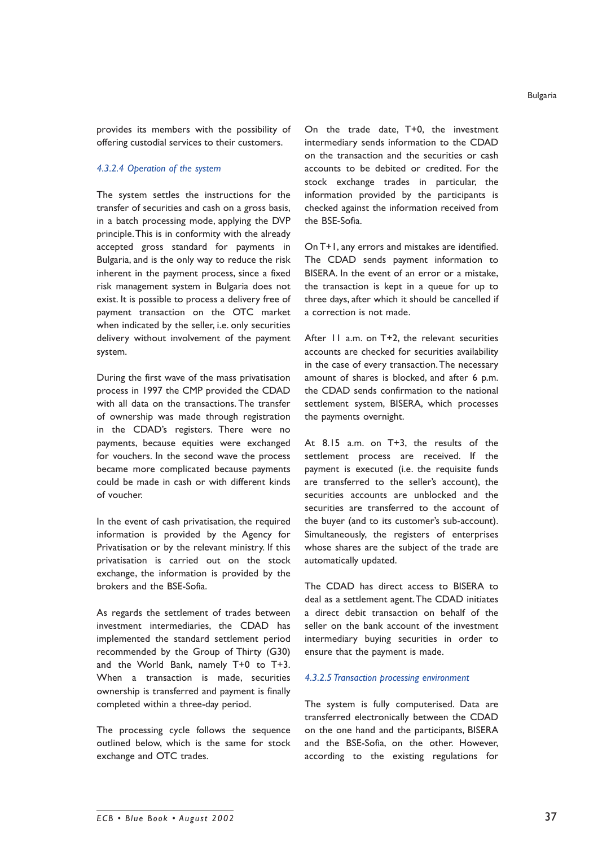provides its members with the possibility of offering custodial services to their customers.

#### *4.3.2.4 Operation of the system*

The system settles the instructions for the transfer of securities and cash on a gross basis, in a batch processing mode, applying the DVP principle. This is in conformity with the already accepted gross standard for payments in Bulgaria, and is the only way to reduce the risk inherent in the payment process, since a fixed risk management system in Bulgaria does not exist. It is possible to process a delivery free of payment transaction on the OTC market when indicated by the seller, i.e. only securities delivery without involvement of the payment system.

During the first wave of the mass privatisation process in 1997 the CMP provided the CDAD with all data on the transactions. The transfer of ownership was made through registration in the CDADís registers. There were no payments, because equities were exchanged for vouchers. In the second wave the process became more complicated because payments could be made in cash or with different kinds of voucher.

In the event of cash privatisation, the required information is provided by the Agency for Privatisation or by the relevant ministry. If this privatisation is carried out on the stock exchange, the information is provided by the brokers and the BSE-Sofia.

As regards the settlement of trades between investment intermediaries, the CDAD has implemented the standard settlement period recommended by the Group of Thirty (G30) and the World Bank, namely T+0 to T+3. When a transaction is made, securities ownership is transferred and payment is finally completed within a three-day period.

The processing cycle follows the sequence outlined below, which is the same for stock exchange and OTC trades.

On the trade date, T+0, the investment intermediary sends information to the CDAD on the transaction and the securities or cash accounts to be debited or credited. For the stock exchange trades in particular, the information provided by the participants is checked against the information received from the BSE-Sofia.

On T+1, any errors and mistakes are identified. The CDAD sends payment information to BISERA. In the event of an error or a mistake, the transaction is kept in a queue for up to three days, after which it should be cancelled if a correction is not made.

After 11 a.m. on T+2, the relevant securities accounts are checked for securities availability in the case of every transaction. The necessary amount of shares is blocked, and after 6 p.m. the CDAD sends confirmation to the national settlement system, BISERA, which processes the payments overnight.

At 8.15 a.m. on T+3, the results of the settlement process are received. If the payment is executed (i.e. the requisite funds are transferred to the seller's account), the securities accounts are unblocked and the securities are transferred to the account of the buyer (and to its customer's sub-account). Simultaneously, the registers of enterprises whose shares are the subject of the trade are automatically updated.

The CDAD has direct access to BISERA to deal as a settlement agent. The CDAD initiates a direct debit transaction on behalf of the seller on the bank account of the investment intermediary buying securities in order to ensure that the payment is made.

#### *4.3.2.5 Transaction processing environment*

The system is fully computerised. Data are transferred electronically between the CDAD on the one hand and the participants, BISERA and the BSE-Sofia, on the other. However, according to the existing regulations for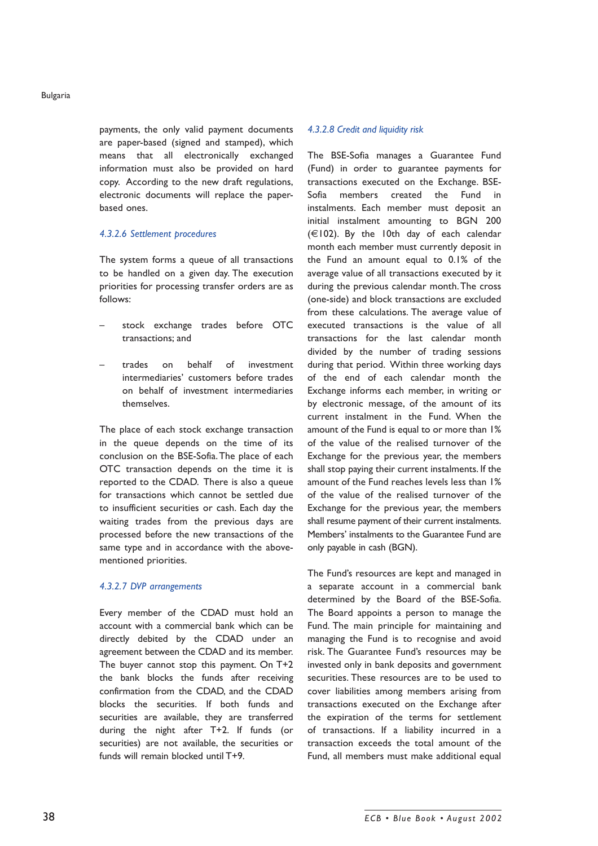payments, the only valid payment documents are paper-based (signed and stamped), which means that all electronically exchanged information must also be provided on hard copy. According to the new draft regulations, electronic documents will replace the paperbased ones.

#### *4.3.2.6 Settlement procedures*

The system forms a queue of all transactions to be handled on a given day. The execution priorities for processing transfer orders are as follows:

- stock exchange trades before OTC transactions; and
- trades on behalf of investment intermediaries' customers before trades on behalf of investment intermediaries themselves.

The place of each stock exchange transaction in the queue depends on the time of its conclusion on the BSE-Sofia. The place of each OTC transaction depends on the time it is reported to the CDAD. There is also a queue for transactions which cannot be settled due to insufficient securities or cash. Each day the waiting trades from the previous days are processed before the new transactions of the same type and in accordance with the abovementioned priorities.

#### *4.3.2.7 DVP arrangements*

Every member of the CDAD must hold an account with a commercial bank which can be directly debited by the CDAD under an agreement between the CDAD and its member. The buyer cannot stop this payment. On T+2 the bank blocks the funds after receiving confirmation from the CDAD, and the CDAD blocks the securities. If both funds and securities are available, they are transferred during the night after T+2. If funds (or securities) are not available, the securities or funds will remain blocked until T+9.

#### *4.3.2.8 Credit and liquidity risk*

The BSE-Sofia manages a Guarantee Fund (Fund) in order to guarantee payments for transactions executed on the Exchange. BSE-Sofia members created the Fund in instalments. Each member must deposit an initial instalment amounting to BGN 200  $(\in$ 102). By the 10th day of each calendar month each member must currently deposit in the Fund an amount equal to 0.1% of the average value of all transactions executed by it during the previous calendar month. The cross (one-side) and block transactions are excluded from these calculations. The average value of executed transactions is the value of all transactions for the last calendar month divided by the number of trading sessions during that period. Within three working days of the end of each calendar month the Exchange informs each member, in writing or by electronic message, of the amount of its current instalment in the Fund. When the amount of the Fund is equal to or more than 1% of the value of the realised turnover of the Exchange for the previous year, the members shall stop paying their current instalments. If the amount of the Fund reaches levels less than 1% of the value of the realised turnover of the Exchange for the previous year, the members shall resume payment of their current instalments. Members' instalments to the Guarantee Fund are only payable in cash (BGN).

The Fund's resources are kept and managed in a separate account in a commercial bank determined by the Board of the BSE-Sofia. The Board appoints a person to manage the Fund. The main principle for maintaining and managing the Fund is to recognise and avoid risk. The Guarantee Fund's resources may be invested only in bank deposits and government securities. These resources are to be used to cover liabilities among members arising from transactions executed on the Exchange after the expiration of the terms for settlement of transactions. If a liability incurred in a transaction exceeds the total amount of the Fund, all members must make additional equal